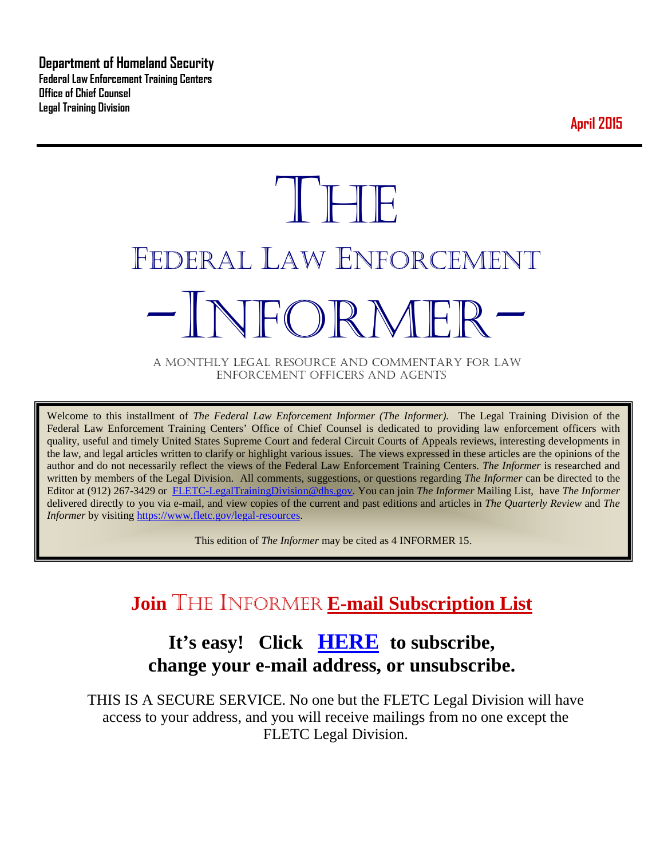**Department of Homeland Security Federal Law Enforcement Training Centers Office of Chief Counsel Legal Training Division** 

**April 2015**

# **THE** FEDERAL LAW ENFORCEMENT NFOR MFI

A MONTHLY LEGAL RESOURCE AND COMMENTARY FOR LAW ENFORCEMENT OFFICERS AND AGENTS

Welcome to this installment of *The Federal Law Enforcement Informer (The Informer).* The Legal Training Division of the Federal Law Enforcement Training Centers' Office of Chief Counsel is dedicated to providing law enforcement officers with quality, useful and timely United States Supreme Court and federal Circuit Courts of Appeals reviews, interesting developments in the law, and legal articles written to clarify or highlight various issues. The views expressed in these articles are the opinions of the author and do not necessarily reflect the views of the Federal Law Enforcement Training Centers. *The Informer* is researched and written by members of the Legal Division. All comments, suggestions, or questions regarding *The Informer* can be directed to the Editor at (912) 267-3429 or [FLETC-LegalTrainingDivision@dhs.gov.](mailto:FLETC-LegalTrainingDivision@dhs.gov) You can join *The Informer* Mailing List, have *The Informer* delivered directly to you via e-mail, and view copies of the current and past editions and articles in *The Quarterly Review* and *The Informer* by visiting [https://www.fletc.gov/legal-resources.](https://www.fletc.gov/legal-resources)

This edition of *The Informer* may be cited as 4 INFORMER 15.

# **Join** THE INFORMER **E-mail Subscription List**

# **It's easy! Click [HERE](http://peach.ease.lsoft.com/scripts/wa.exe?SUBED1=fletclgd&A=1) to subscribe, change your e-mail address, or unsubscribe.**

THIS IS A SECURE SERVICE. No one but the FLETC Legal Division will have access to your address, and you will receive mailings from no one except the FLETC Legal Division.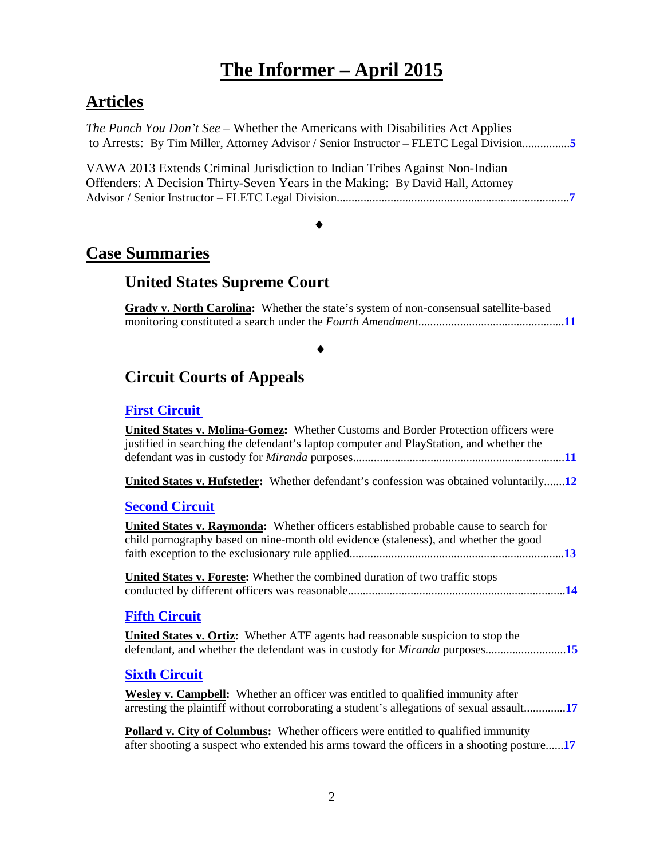# **The Informer – April 2015**

# **Articles**

*The Punch You Don't See* – Whether the Americans with Disabilities Act Applies to Arrests: By Tim Miller, Attorney Advisor / Senior Instructor – FLETC Legal Division................**[5](#page-4-0)**

VAWA 2013 Extends Criminal Jurisdiction to Indian Tribes Against Non-Indian Offenders: A Decision Thirty-Seven Years in the Making: By David Hall, Attorney Advisor / Senior Instructor – FLETC Legal Division..............................................................................**[7](#page-6-0)**

# ♦

# **Case Summaries**

# **United States Supreme Court**

**Grady v. North Carolina:** Whether the state's system of non-consensual satellite-based monitoring constituted a search under the *Fourth Amendment*.................................................**[11](#page-10-0)**

# ♦

# **[Circuit Courts of Appeals](#page-10-1)**

## **[First Circuit](#page-10-2)**

| United States v. Molina-Gomez: Whether Customs and Border Protection officers were<br>justified in searching the defendant's laptop computer and PlayStation, and whether the          |
|----------------------------------------------------------------------------------------------------------------------------------------------------------------------------------------|
| <b>United States v. Hufstetler:</b> Whether defendant's confession was obtained voluntarily12                                                                                          |
| <b>Second Circuit</b>                                                                                                                                                                  |
| <b>United States v. Raymonda:</b> Whether officers established probable cause to search for<br>child pornography based on nine-month old evidence (staleness), and whether the good    |
| United States v. Foreste: Whether the combined duration of two traffic stops                                                                                                           |
| <b>Fifth Circuit</b>                                                                                                                                                                   |
| <b>United States v. Ortiz:</b> Whether ATF agents had reasonable suspicion to stop the<br>defendant, and whether the defendant was in custody for <i>Miranda</i> purposes15            |
| <b>Sixth Circuit</b>                                                                                                                                                                   |
| <b>Wesley v. Campbell:</b> Whether an officer was entitled to qualified immunity after<br>arresting the plaintiff without corroborating a student's allegations of sexual assault17    |
| <b>Pollard v. City of Columbus:</b> Whether officers were entitled to qualified immunity<br>after shooting a suspect who extended his arms toward the officers in a shooting posture17 |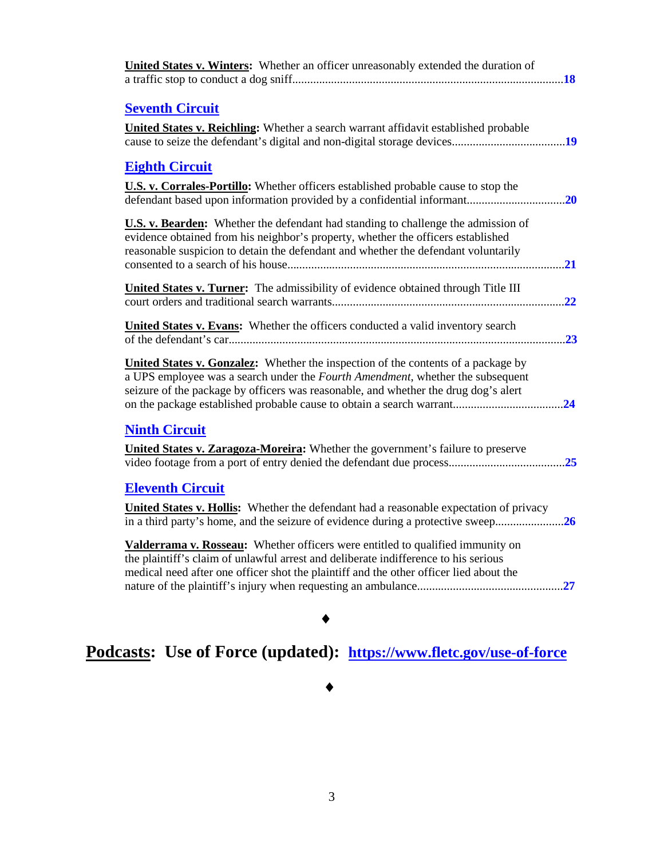| <b>United States v. Winters:</b> Whether an officer unreasonably extended the duration of<br>18                                                                                                                                                                           |
|---------------------------------------------------------------------------------------------------------------------------------------------------------------------------------------------------------------------------------------------------------------------------|
| <b>Seventh Circuit</b><br><b>United States v. Reichling:</b> Whether a search warrant affidavit established probable                                                                                                                                                      |
| <b>Eighth Circuit</b>                                                                                                                                                                                                                                                     |
| <b>U.S. v. Corrales-Portillo:</b> Whether officers established probable cause to stop the<br>defendant based upon information provided by a confidential informant<br>.20                                                                                                 |
| <b>U.S. v. Bearden:</b> Whether the defendant had standing to challenge the admission of<br>evidence obtained from his neighbor's property, whether the officers established<br>reasonable suspicion to detain the defendant and whether the defendant voluntarily<br>.21 |
| <b>United States v. Turner:</b> The admissibility of evidence obtained through Title III<br>22                                                                                                                                                                            |
| United States v. Evans: Whether the officers conducted a valid inventory search<br>.23                                                                                                                                                                                    |
| <b>United States v. Gonzalez:</b> Whether the inspection of the contents of a package by<br>a UPS employee was a search under the Fourth Amendment, whether the subsequent<br>seizure of the package by officers was reasonable, and whether the drug dog's alert<br>24   |
| <b>Ninth Circuit</b><br><b>United States v. Zaragoza-Moreira:</b> Whether the government's failure to preserve                                                                                                                                                            |
| <b>Eleventh Circuit</b><br>United States v. Hollis: Whether the defendant had a reasonable expectation of privacy<br>in a third party's home, and the seizure of evidence during a protective sweep26                                                                     |
| Valderrama v. Rosseau: Whether officers were entitled to qualified immunity on<br>the plaintiff's claim of unlawful arrest and deliberate indifference to his serious<br>medical need after one officer shot the plaintiff and the other officer lied about the           |
|                                                                                                                                                                                                                                                                           |

# **Podcasts: Use of Force (updated): <https://www.fletc.gov/use-of-force>**

# ♦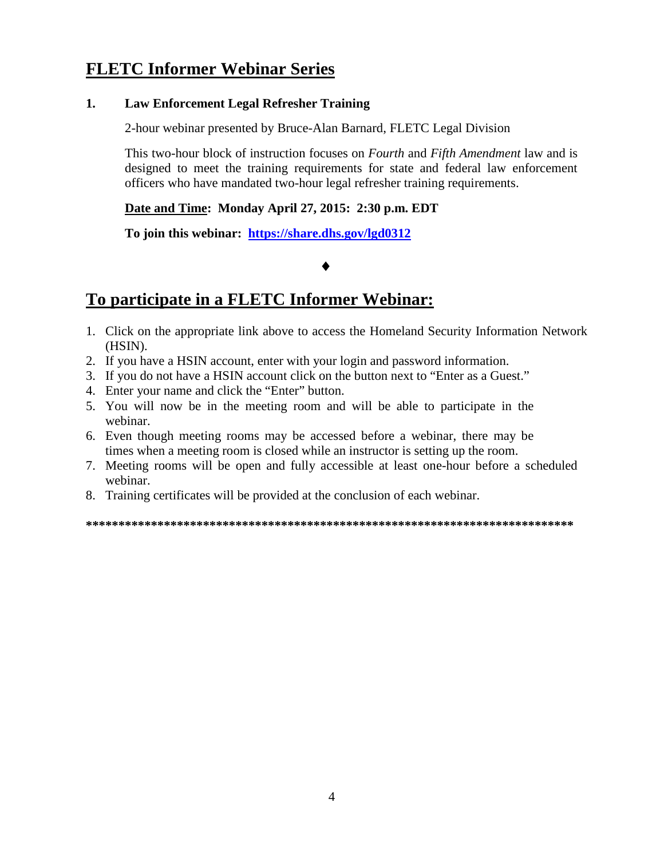# **FLETC Informer Webinar Series**

#### **1. Law Enforcement Legal Refresher Training**

2-hour webinar presented by Bruce-Alan Barnard, FLETC Legal Division

This two-hour block of instruction focuses on *Fourth* and *Fifth Amendment* law and is designed to meet the training requirements for state and federal law enforcement officers who have mandated two-hour legal refresher training requirements.

**Date and Time: Monday April 27, 2015: 2:30 p.m. EDT** 

**To join this webinar: <https://share.dhs.gov/lgd0312>**

#### ♦

# **To participate in a FLETC Informer Webinar:**

- 1. Click on the appropriate link above to access the Homeland Security Information Network (HSIN).
- 2. If you have a HSIN account, enter with your login and password information.
- 3. If you do not have a HSIN account click on the button next to "Enter as a Guest."
- 4. Enter your name and click the "Enter" button.
- 5. You will now be in the meeting room and will be able to participate in the webinar.
- 6. Even though meeting rooms may be accessed before a webinar, there may be times when a meeting room is closed while an instructor is setting up the room.
- 7. Meeting rooms will be open and fully accessible at least one-hour before a scheduled webinar.
- 8. Training certificates will be provided at the conclusion of each webinar.

**\*\*\*\*\*\*\*\*\*\*\*\*\*\*\*\*\*\*\*\*\*\*\*\*\*\*\*\*\*\*\*\*\*\*\*\*\*\*\*\*\*\*\*\*\*\*\*\*\*\*\*\*\*\*\*\*\*\*\*\*\*\*\*\*\*\*\*\*\*\*\*\*\*\*\***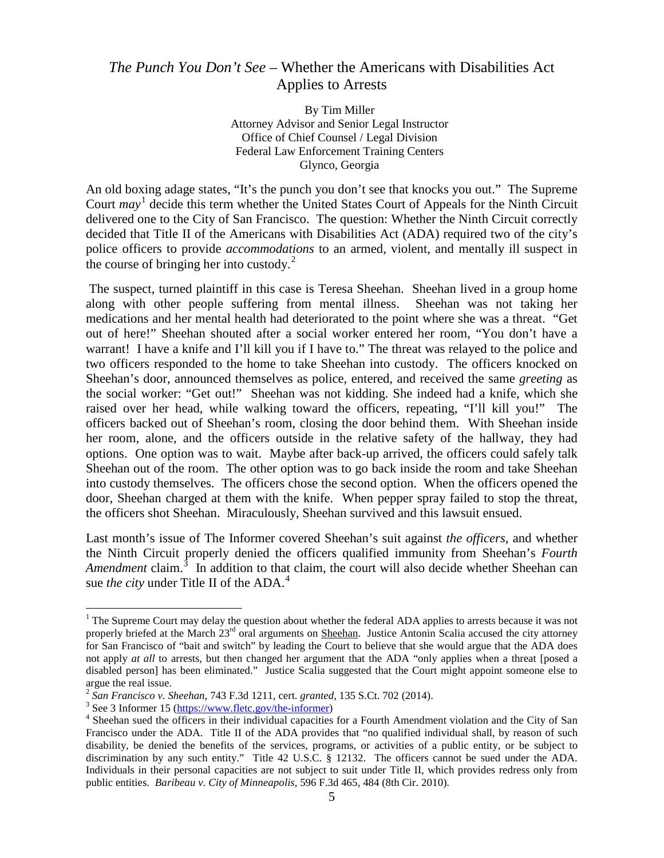# <span id="page-4-0"></span>*The Punch You Don't See* – Whether the Americans with Disabilities Act Applies to Arrests

By Tim Miller Attorney Advisor and Senior Legal Instructor Office of Chief Counsel / Legal Division Federal Law Enforcement Training Centers Glynco, Georgia

An old boxing adage states, "It's the punch you don't see that knocks you out." The Supreme Court *may* [1](#page-4-1) decide this term whether the United States Court of Appeals for the Ninth Circuit delivered one to the City of San Francisco. The question: Whether the Ninth Circuit correctly decided that Title II of the Americans with Disabilities Act (ADA) required two of the city's police officers to provide *accommodations* to an armed, violent, and mentally ill suspect in the course of bringing her into custody. $2$ 

The suspect, turned plaintiff in this case is Teresa Sheehan. Sheehan lived in a group home along with other people suffering from mental illness. Sheehan was not taking her medications and her mental health had deteriorated to the point where she was a threat. "Get out of here!" Sheehan shouted after a social worker entered her room, "You don't have a warrant! I have a knife and I'll kill you if I have to." The threat was relayed to the police and two officers responded to the home to take Sheehan into custody. The officers knocked on Sheehan's door, announced themselves as police, entered, and received the same *greeting* as the social worker: "Get out!" Sheehan was not kidding. She indeed had a knife, which she raised over her head, while walking toward the officers, repeating, "I'll kill you!" The officers backed out of Sheehan's room, closing the door behind them. With Sheehan inside her room, alone, and the officers outside in the relative safety of the hallway, they had options. One option was to wait. Maybe after back-up arrived, the officers could safely talk Sheehan out of the room. The other option was to go back inside the room and take Sheehan into custody themselves. The officers chose the second option. When the officers opened the door, Sheehan charged at them with the knife. When pepper spray failed to stop the threat, the officers shot Sheehan. Miraculously, Sheehan survived and this lawsuit ensued.

Last month's issue of The Informer covered Sheehan's suit against *the officers*, and whether the Ninth Circuit properly denied the officers qualified immunity from Sheehan's *Fourth*  Amendment claim.<sup>[3](#page-4-3)</sup> In addition to that claim, the court will also decide whether Sheehan can sue *the city* under Title II of the ADA. [4](#page-4-4)

<span id="page-4-1"></span><sup>&</sup>lt;sup>1</sup> The Supreme Court may delay the question about whether the federal ADA applies to arrests because it was not properly briefed at the March 23<sup>rd</sup> oral arguments on Sheehan. Justice Antonin Scalia accused the city attorney for San Francisco of "bait and switch" by leading the Court to believe that she would argue that the ADA does not apply *at all* to arrests, but then changed her argument that the ADA "only applies when a threat [posed a disabled person] has been eliminated." Justice Scalia suggested that the Court might appoint someone else to argue the real issue.<br> $^2$  San Francisco v. Sheehan, 743 F.3d 1211, cert. granted, 135 S.Ct. 702 (2014).

<span id="page-4-4"></span><span id="page-4-3"></span><span id="page-4-2"></span> $3$  See 3 Informer 15 [\(https://www.fletc.gov/the-informer\)](https://www.fletc.gov/the-informer)<br> $4$  Sheehan sued the officers in their individual capacities for a Fourth Amendment violation and the City of San Francisco under the ADA. Title II of the ADA provides that "no qualified individual shall, by reason of such disability, be denied the benefits of the services, programs, or activities of a public entity, or be subject to discrimination by any such entity." Title 42 U.S.C. § 12132. The officers cannot be sued under the ADA. Individuals in their personal capacities are not subject to suit under Title II, which provides redress only from public entities. *Baribeau v. City of Minneapolis*, 596 F.3d 465, 484 (8th Cir. 2010).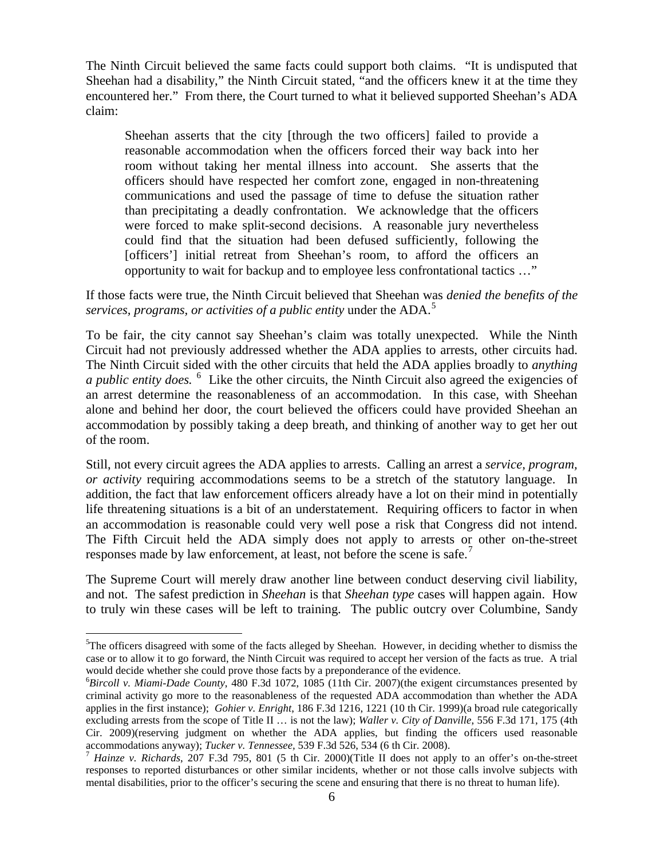The Ninth Circuit believed the same facts could support both claims. "It is undisputed that Sheehan had a disability," the Ninth Circuit stated, "and the officers knew it at the time they encountered her." From there, the Court turned to what it believed supported Sheehan's ADA claim:

Sheehan asserts that the city [through the two officers] failed to provide a reasonable accommodation when the officers forced their way back into her room without taking her mental illness into account. She asserts that the officers should have respected her comfort zone, engaged in non-threatening communications and used the passage of time to defuse the situation rather than precipitating a deadly confrontation. We acknowledge that the officers were forced to make split-second decisions. A reasonable jury nevertheless could find that the situation had been defused sufficiently, following the [officers'] initial retreat from Sheehan's room, to afford the officers an opportunity to wait for backup and to employee less confrontational tactics …"

If those facts were true, the Ninth Circuit believed that Sheehan was *denied the benefits of the services, programs, or activities of a public entity* under the ADA.[5](#page-5-0)

To be fair, the city cannot say Sheehan's claim was totally unexpected. While the Ninth Circuit had not previously addressed whether the ADA applies to arrests, other circuits had. The Ninth Circuit sided with the other circuits that held the ADA applies broadly to *anything a public entity does.* <sup>[6](#page-5-1)</sup> Like the other circuits, the Ninth Circuit also agreed the exigencies of an arrest determine the reasonableness of an accommodation. In this case, with Sheehan alone and behind her door, the court believed the officers could have provided Sheehan an accommodation by possibly taking a deep breath, and thinking of another way to get her out of the room.

Still, not every circuit agrees the ADA applies to arrests. Calling an arrest a *service, program, or activity* requiring accommodations seems to be a stretch of the statutory language. In addition, the fact that law enforcement officers already have a lot on their mind in potentially life threatening situations is a bit of an understatement. Requiring officers to factor in when an accommodation is reasonable could very well pose a risk that Congress did not intend. The Fifth Circuit held the ADA simply does not apply to arrests or other on-the-street responses made by law enforcement, at least, not before the scene is safe.<sup>[7](#page-5-2)</sup>

The Supreme Court will merely draw another line between conduct deserving civil liability, and not. The safest prediction in *Sheehan* is that *Sheehan type* cases will happen again. How to truly win these cases will be left to training. The public outcry over Columbine, Sandy

<span id="page-5-0"></span><sup>&</sup>lt;sup>5</sup>The officers disagreed with some of the facts alleged by Sheehan. However, in deciding whether to dismiss the case or to allow it to go forward, the Ninth Circuit was required to accept her version of the facts as true. A trial would decide whether she could prove those facts by a preponderance of the evidence.

<span id="page-5-1"></span>*Bircoll v. Miami-Dade County*, 480 F.3d 1072, 1085 (11th Cir. 2007)(the exigent circumstances presented by criminal activity go more to the reasonableness of the requested ADA accommodation than whether the ADA applies in the first instance); *Gohier v. Enright*, 186 F.3d 1216, 1221 (10 th Cir. 1999)(a broad rule categorically excluding arrests from the scope of Title II … is not the law); *Waller v. City of Danville*, 556 F.3d 171, 175 (4th Cir. 2009)(reserving judgment on whether the ADA applies, but finding the officers used reasonable accommodations anyway); *Tucker v. Tennessee*, 539 F.3d 526, 534 (6 th Cir. 2008).<br><sup>7</sup> *Hainze v. Richards*, 207 F.3d 795, 801 (5 th Cir. 2000)(Title II does not apply to an offer's on-the-street

<span id="page-5-2"></span>responses to reported disturbances or other similar incidents, whether or not those calls involve subjects with mental disabilities, prior to the officer's securing the scene and ensuring that there is no threat to human life).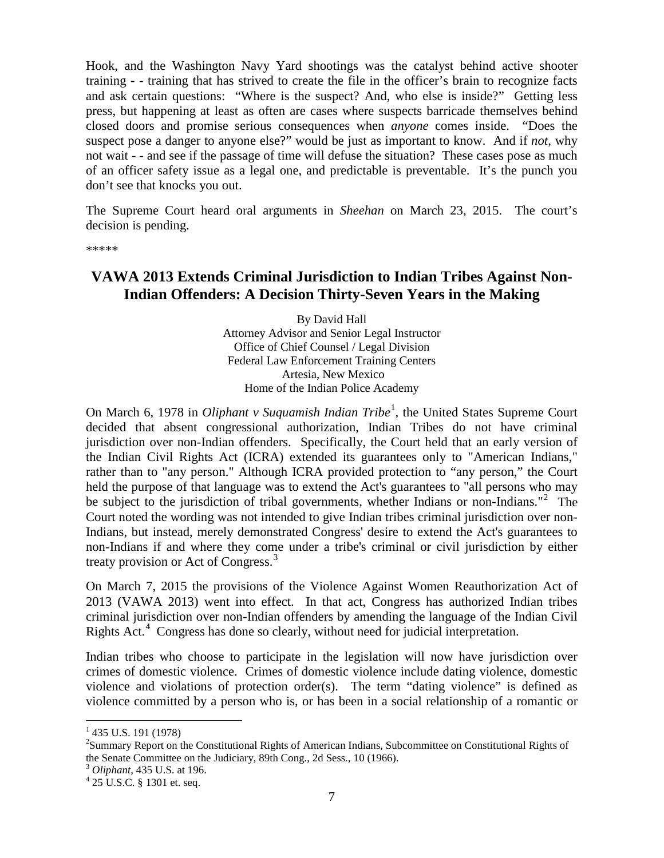Hook, and the Washington Navy Yard shootings was the catalyst behind active shooter training - - training that has strived to create the file in the officer's brain to recognize facts and ask certain questions: "Where is the suspect? And, who else is inside?" Getting less press, but happening at least as often are cases where suspects barricade themselves behind closed doors and promise serious consequences when *anyone* comes inside. "Does the suspect pose a danger to anyone else?" would be just as important to know. And if *not*, why not wait - - and see if the passage of time will defuse the situation? These cases pose as much of an officer safety issue as a legal one, and predictable is preventable. It's the punch you don't see that knocks you out.

The Supreme Court heard oral arguments in *Sheehan* on March 23, 2015. The court's decision is pending.

\*\*\*\*\*

## <span id="page-6-0"></span>**VAWA 2013 Extends Criminal Jurisdiction to Indian Tribes Against Non-Indian Offenders: A Decision Thirty-Seven Years in the Making**

By David Hall Attorney Advisor and Senior Legal Instructor Office of Chief Counsel / Legal Division Federal Law Enforcement Training Centers Artesia, New Mexico Home of the Indian Police Academy

On March 6, [1](#page-6-1)978 in *Oliphant v Suquamish Indian Tribe*<sup>1</sup>, the United States Supreme Court decided that absent congressional authorization, Indian Tribes do not have criminal jurisdiction over non-Indian offenders. Specifically, the Court held that an early version of the Indian Civil Rights Act (ICRA) extended its guarantees only to "American Indians," rather than to "any person." Although ICRA provided protection to "any person," the Court held the purpose of that language was to extend the Act's guarantees to "all persons who may be subject to the jurisdiction of tribal governments, whether Indians or non-Indians."<sup>[2](#page-6-2)</sup> The Court noted the wording was not intended to give Indian tribes criminal jurisdiction over non-Indians, but instead, merely demonstrated Congress' desire to extend the Act's guarantees to non-Indians if and where they come under a tribe's criminal or civil jurisdiction by either treaty provision or Act of Congress.<sup>[3](#page-6-3)</sup>

On March 7, 2015 the provisions of the Violence Against Women Reauthorization Act of 2013 (VAWA 2013) went into effect. In that act, Congress has authorized Indian tribes criminal jurisdiction over non-Indian offenders by amending the language of the Indian Civil Rights Act.<sup>[4](#page-6-4)</sup> Congress has done so clearly, without need for judicial interpretation.

Indian tribes who choose to participate in the legislation will now have jurisdiction over crimes of domestic violence. Crimes of domestic violence include dating violence, domestic violence and violations of protection order(s). The term "dating violence" is defined as violence committed by a person who is, or has been in a social relationship of a romantic or

<span id="page-6-1"></span> $1$  435 U.S. 191 (1978)

<span id="page-6-2"></span><sup>&</sup>lt;sup>2</sup>Summary Report on the Constitutional Rights of American Indians, Subcommittee on Constitutional Rights of the Senate Committee on the Judiciary, 89th Cong., 2d Sess., 10 (1966).<br> $3$  *Oliphant*, 435 U.S. at 196.

<span id="page-6-3"></span>

<span id="page-6-4"></span><sup>&</sup>lt;sup>4</sup> 25 U.S.C. § 1301 et. seq.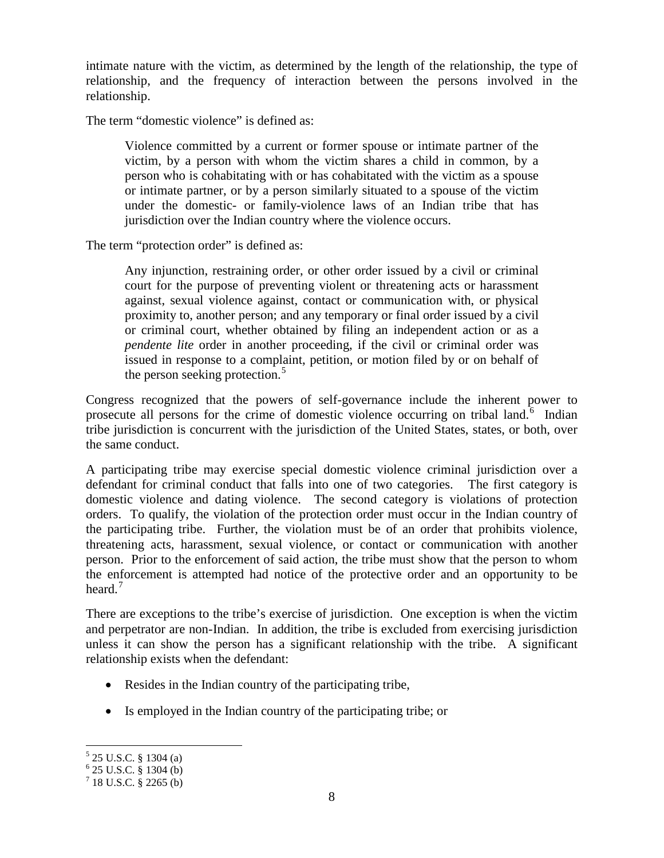intimate nature with the victim, as determined by the length of the relationship, the type of relationship, and the frequency of interaction between the persons involved in the relationship.

The term "domestic violence" is defined as:

Violence committed by a current or former spouse or intimate partner of the victim, by a person with whom the victim shares a child in common, by a person who is cohabitating with or has cohabitated with the victim as a spouse or intimate partner, or by a person similarly situated to a spouse of the victim under the domestic- or family-violence laws of an Indian tribe that has jurisdiction over the Indian country where the violence occurs.

The term "protection order" is defined as:

Any injunction, restraining order, or other order issued by a civil or criminal court for the purpose of preventing violent or threatening acts or harassment against, sexual violence against, contact or communication with, or physical proximity to, another person; and any temporary or final order issued by a civil or criminal court, whether obtained by filing an independent action or as a *pendente lite* order in another proceeding, if the civil or criminal order was issued in response to a complaint, petition, or motion filed by or on behalf of the person seeking protection.<sup>[5](#page-7-0)</sup>

Congress recognized that the powers of self-governance include the inherent power to prosecute all persons for the crime of domestic violence occurring on tribal land.<sup>[6](#page-7-1)</sup> Indian tribe jurisdiction is concurrent with the jurisdiction of the United States, states, or both, over the same conduct.

A participating tribe may exercise special domestic violence criminal jurisdiction over a defendant for criminal conduct that falls into one of two categories. The first category is domestic violence and dating violence. The second category is violations of protection orders. To qualify, the violation of the protection order must occur in the Indian country of the participating tribe. Further, the violation must be of an order that prohibits violence, threatening acts, harassment, sexual violence, or contact or communication with another person. Prior to the enforcement of said action, the tribe must show that the person to whom the enforcement is attempted had notice of the protective order and an opportunity to be heard. $<sup>7</sup>$  $<sup>7</sup>$  $<sup>7</sup>$ </sup>

There are exceptions to the tribe's exercise of jurisdiction. One exception is when the victim and perpetrator are non-Indian. In addition, the tribe is excluded from exercising jurisdiction unless it can show the person has a significant relationship with the tribe. A significant relationship exists when the defendant:

- Resides in the Indian country of the participating tribe,
- Is employed in the Indian country of the participating tribe; or

<span id="page-7-1"></span><span id="page-7-0"></span> $5$  25 U.S.C. § 1304 (a)<br>  $6$  25 U.S.C. § 1304 (b)<br>  $7$  18 U.S.C. § 2265 (b)

<span id="page-7-2"></span>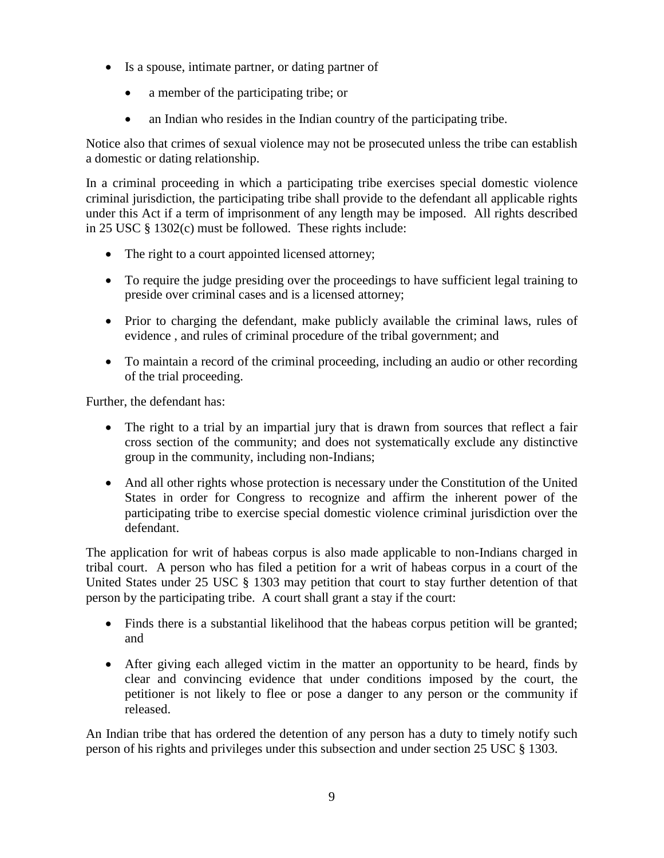- Is a spouse, intimate partner, or dating partner of
	- a member of the participating tribe; or
	- an Indian who resides in the Indian country of the participating tribe.

Notice also that crimes of sexual violence may not be prosecuted unless the tribe can establish a domestic or dating relationship.

In a criminal proceeding in which a participating tribe exercises special domestic violence criminal jurisdiction, the participating tribe shall provide to the defendant all applicable rights under this Act if a term of imprisonment of any length may be imposed. All rights described in 25 USC § 1302(c) must be followed. These rights include:

- The right to a court appointed licensed attorney;
- To require the judge presiding over the proceedings to have sufficient legal training to preside over criminal cases and is a licensed attorney;
- Prior to charging the defendant, make publicly available the criminal laws, rules of evidence , and rules of criminal procedure of the tribal government; and
- To maintain a record of the criminal proceeding, including an audio or other recording of the trial proceeding.

Further, the defendant has:

- The right to a trial by an impartial jury that is drawn from sources that reflect a fair cross section of the community; and does not systematically exclude any distinctive group in the community, including non-Indians;
- And all other rights whose protection is necessary under the Constitution of the United States in order for Congress to recognize and affirm the inherent power of the participating tribe to exercise special domestic violence criminal jurisdiction over the defendant.

The application for writ of habeas corpus is also made applicable to non-Indians charged in tribal court. A person who has filed a petition for a writ of habeas corpus in a court of the United States under 25 USC § 1303 may petition that court to stay further detention of that person by the participating tribe. A court shall grant a stay if the court:

- Finds there is a substantial likelihood that the habeas corpus petition will be granted; and
- After giving each alleged victim in the matter an opportunity to be heard, finds by clear and convincing evidence that under conditions imposed by the court, the petitioner is not likely to flee or pose a danger to any person or the community if released.

An Indian tribe that has ordered the detention of any person has a duty to timely notify such person of his rights and privileges under this subsection and under section 25 USC § 1303.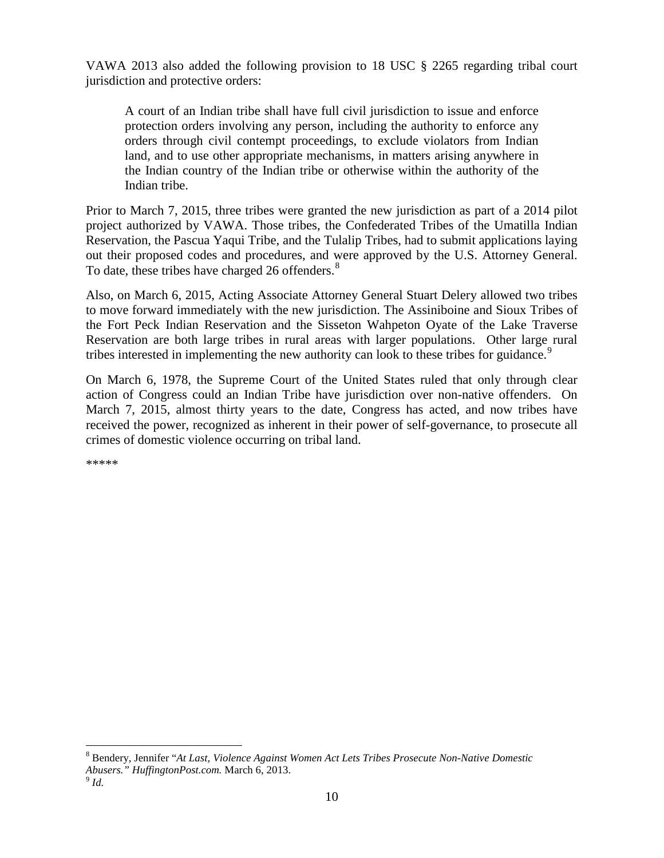VAWA 2013 also added the following provision to 18 USC § 2265 regarding tribal court jurisdiction and protective orders:

A court of an Indian tribe shall have full civil jurisdiction to issue and enforce protection orders involving any person, including the authority to enforce any orders through civil contempt proceedings, to exclude violators from Indian land, and to use other appropriate mechanisms, in matters arising anywhere in the Indian country of the Indian tribe or otherwise within the authority of the Indian tribe.

Prior to March 7, 2015, three tribes were granted the new jurisdiction as part of a 2014 pilot project authorized by VAWA. Those tribes, the Confederated Tribes of the Umatilla Indian Reservation, the Pascua Yaqui Tribe, and the Tulalip Tribes, had to submit applications laying out their proposed codes and procedures, and were approved by the U.S. Attorney General. To date, these tribes have charged 26 offenders.<sup>[8](#page-9-0)</sup>

Also, on March 6, 2015, Acting Associate Attorney General Stuart Delery allowed two tribes to move forward immediately with the new jurisdiction. The Assiniboine and Sioux Tribes of the Fort Peck Indian Reservation and the Sisseton Wahpeton Oyate of the Lake Traverse Reservation are both large tribes in rural areas with larger populations. Other large rural tribes interested in implementing the new authority can look to these tribes for guidance.<sup>[9](#page-9-1)</sup>

On March 6, 1978, the Supreme Court of the United States ruled that only through clear action of Congress could an Indian Tribe have jurisdiction over non-native offenders. On March 7, 2015, almost thirty years to the date, Congress has acted, and now tribes have received the power, recognized as inherent in their power of self-governance, to prosecute all crimes of domestic violence occurring on tribal land.

\*\*\*\*\*

<span id="page-9-1"></span><span id="page-9-0"></span><sup>8</sup> Bendery, Jennifer "*At Last, Violence Against Women Act Lets Tribes Prosecute Non-Native Domestic Abusers." HuffingtonPost.com.* March 6, 2013. <sup>9</sup> *Id.*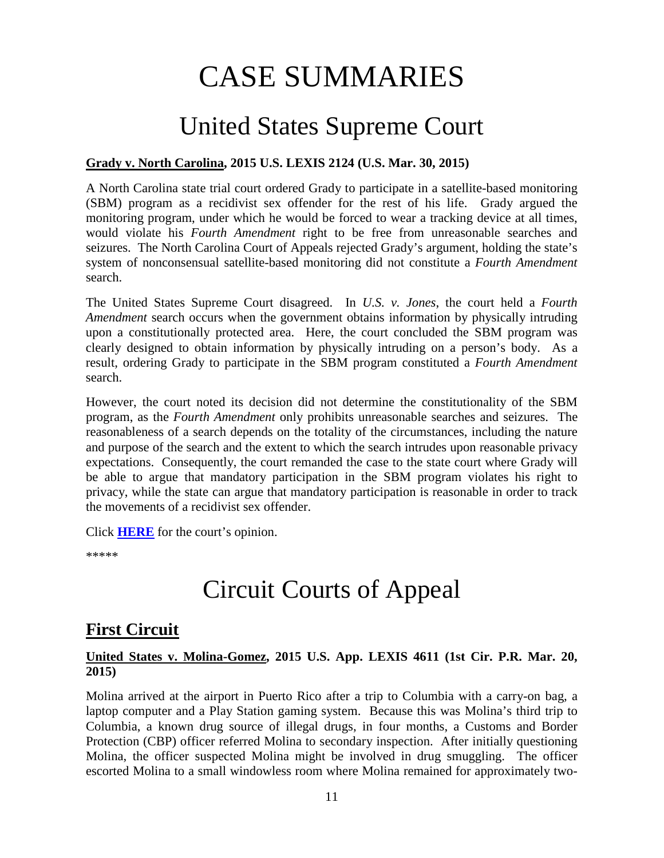# CASE SUMMARIES

# United States Supreme Court

#### <span id="page-10-1"></span><span id="page-10-0"></span>**Grady v. North Carolina, 2015 U.S. LEXIS 2124 (U.S. Mar. 30, 2015)**

A North Carolina state trial court ordered Grady to participate in a satellite-based monitoring (SBM) program as a recidivist sex offender for the rest of his life. Grady argued the monitoring program, under which he would be forced to wear a tracking device at all times, would violate his *Fourth Amendment* right to be free from unreasonable searches and seizures. The North Carolina Court of Appeals rejected Grady's argument, holding the state's system of nonconsensual satellite-based monitoring did not constitute a *Fourth Amendment* search.

The United States Supreme Court disagreed. In *U.S. v. Jones*, the court held a *Fourth Amendment* search occurs when the government obtains information by physically intruding upon a constitutionally protected area. Here, the court concluded the SBM program was clearly designed to obtain information by physically intruding on a person's body. As a result, ordering Grady to participate in the SBM program constituted a *Fourth Amendment*  search.

However, the court noted its decision did not determine the constitutionality of the SBM program, as the *Fourth Amendment* only prohibits unreasonable searches and seizures. The reasonableness of a search depends on the totality of the circumstances, including the nature and purpose of the search and the extent to which the search intrudes upon reasonable privacy expectations. Consequently, the court remanded the case to the state court where Grady will be able to argue that mandatory participation in the SBM program violates his right to privacy, while the state can argue that mandatory participation is reasonable in order to track the movements of a recidivist sex offender.

Click **[HERE](https://supreme.justia.com/cases/federal/us/575/14-593/case.pdf)** for the court's opinion.

\*\*\*\*\*

# Circuit Courts of Appeal

# <span id="page-10-2"></span>**First Circuit**

#### <span id="page-10-3"></span>**United States v. Molina-Gomez, 2015 U.S. App. LEXIS 4611 (1st Cir. P.R. Mar. 20, 2015)**

Molina arrived at the airport in Puerto Rico after a trip to Columbia with a carry-on bag, a laptop computer and a Play Station gaming system. Because this was Molina's third trip to Columbia, a known drug source of illegal drugs, in four months, a Customs and Border Protection (CBP) officer referred Molina to secondary inspection. After initially questioning Molina, the officer suspected Molina might be involved in drug smuggling. The officer escorted Molina to a small windowless room where Molina remained for approximately two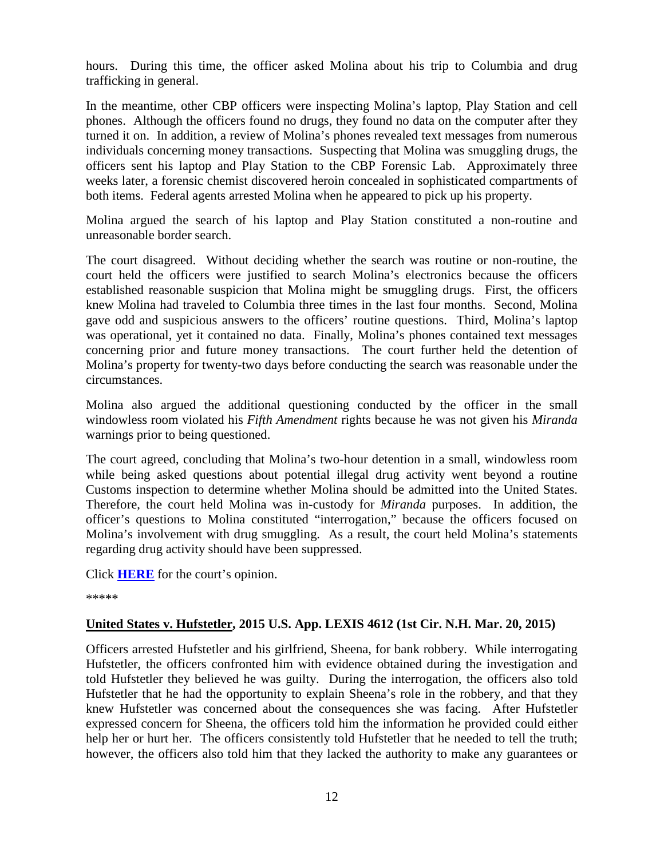hours. During this time, the officer asked Molina about his trip to Columbia and drug trafficking in general.

In the meantime, other CBP officers were inspecting Molina's laptop, Play Station and cell phones. Although the officers found no drugs, they found no data on the computer after they turned it on. In addition, a review of Molina's phones revealed text messages from numerous individuals concerning money transactions. Suspecting that Molina was smuggling drugs, the officers sent his laptop and Play Station to the CBP Forensic Lab. Approximately three weeks later, a forensic chemist discovered heroin concealed in sophisticated compartments of both items. Federal agents arrested Molina when he appeared to pick up his property.

Molina argued the search of his laptop and Play Station constituted a non-routine and unreasonable border search.

The court disagreed. Without deciding whether the search was routine or non-routine, the court held the officers were justified to search Molina's electronics because the officers established reasonable suspicion that Molina might be smuggling drugs. First, the officers knew Molina had traveled to Columbia three times in the last four months. Second, Molina gave odd and suspicious answers to the officers' routine questions. Third, Molina's laptop was operational, yet it contained no data. Finally, Molina's phones contained text messages concerning prior and future money transactions. The court further held the detention of Molina's property for twenty-two days before conducting the search was reasonable under the circumstances.

Molina also argued the additional questioning conducted by the officer in the small windowless room violated his *Fifth Amendment* rights because he was not given his *Miranda*  warnings prior to being questioned.

The court agreed, concluding that Molina's two-hour detention in a small, windowless room while being asked questions about potential illegal drug activity went beyond a routine Customs inspection to determine whether Molina should be admitted into the United States. Therefore, the court held Molina was in-custody for *Miranda* purposes. In addition, the officer's questions to Molina constituted "interrogation," because the officers focused on Molina's involvement with drug smuggling. As a result, the court held Molina's statements regarding drug activity should have been suppressed.

Click **[HERE](http://cases.justia.com/federal/appellate-courts/ca1/13-1494/13-1494-2015-03-20.pdf?ts=1426881607)** for the court's opinion.

\*\*\*\*\*

#### <span id="page-11-0"></span>**United States v. Hufstetler, 2015 U.S. App. LEXIS 4612 (1st Cir. N.H. Mar. 20, 2015)**

Officers arrested Hufstetler and his girlfriend, Sheena, for bank robbery. While interrogating Hufstetler, the officers confronted him with evidence obtained during the investigation and told Hufstetler they believed he was guilty. During the interrogation, the officers also told Hufstetler that he had the opportunity to explain Sheena's role in the robbery, and that they knew Hufstetler was concerned about the consequences she was facing. After Hufstetler expressed concern for Sheena, the officers told him the information he provided could either help her or hurt her. The officers consistently told Hufstetler that he needed to tell the truth; however, the officers also told him that they lacked the authority to make any guarantees or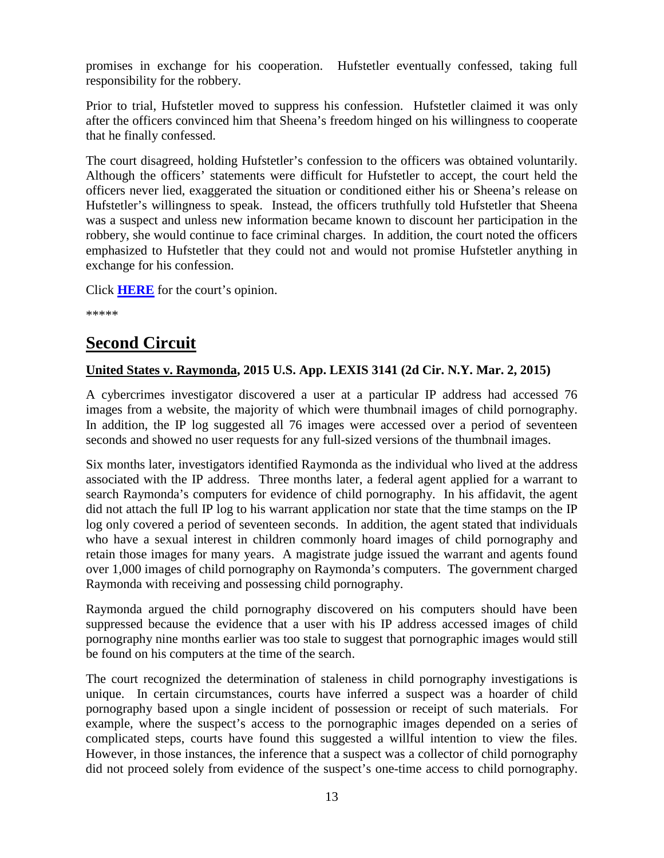promises in exchange for his cooperation. Hufstetler eventually confessed, taking full responsibility for the robbery.

Prior to trial, Hufstetler moved to suppress his confession. Hufstetler claimed it was only after the officers convinced him that Sheena's freedom hinged on his willingness to cooperate that he finally confessed.

The court disagreed, holding Hufstetler's confession to the officers was obtained voluntarily. Although the officers' statements were difficult for Hufstetler to accept, the court held the officers never lied, exaggerated the situation or conditioned either his or Sheena's release on Hufstetler's willingness to speak. Instead, the officers truthfully told Hufstetler that Sheena was a suspect and unless new information became known to discount her participation in the robbery, she would continue to face criminal charges. In addition, the court noted the officers emphasized to Hufstetler that they could not and would not promise Hufstetler anything in exchange for his confession.

Click **[HERE](http://cases.justia.com/federal/appellate-courts/ca1/14-1393/14-1393-2015-03-20.pdf?ts=1426881608)** for the court's opinion.

\*\*\*\*\*

# <span id="page-12-0"></span>**Second Circuit**

## <span id="page-12-1"></span>**United States v. Raymonda, 2015 U.S. App. LEXIS 3141 (2d Cir. N.Y. Mar. 2, 2015)**

A cybercrimes investigator discovered a user at a particular IP address had accessed 76 images from a website, the majority of which were thumbnail images of child pornography. In addition, the IP log suggested all 76 images were accessed over a period of seventeen seconds and showed no user requests for any full-sized versions of the thumbnail images.

Six months later, investigators identified Raymonda as the individual who lived at the address associated with the IP address. Three months later, a federal agent applied for a warrant to search Raymonda's computers for evidence of child pornography. In his affidavit, the agent did not attach the full IP log to his warrant application nor state that the time stamps on the IP log only covered a period of seventeen seconds. In addition, the agent stated that individuals who have a sexual interest in children commonly hoard images of child pornography and retain those images for many years. A magistrate judge issued the warrant and agents found over 1,000 images of child pornography on Raymonda's computers. The government charged Raymonda with receiving and possessing child pornography.

Raymonda argued the child pornography discovered on his computers should have been suppressed because the evidence that a user with his IP address accessed images of child pornography nine months earlier was too stale to suggest that pornographic images would still be found on his computers at the time of the search.

The court recognized the determination of staleness in child pornography investigations is unique. In certain circumstances, courts have inferred a suspect was a hoarder of child pornography based upon a single incident of possession or receipt of such materials. For example, where the suspect's access to the pornographic images depended on a series of complicated steps, courts have found this suggested a willful intention to view the files. However, in those instances, the inference that a suspect was a collector of child pornography did not proceed solely from evidence of the suspect's one-time access to child pornography.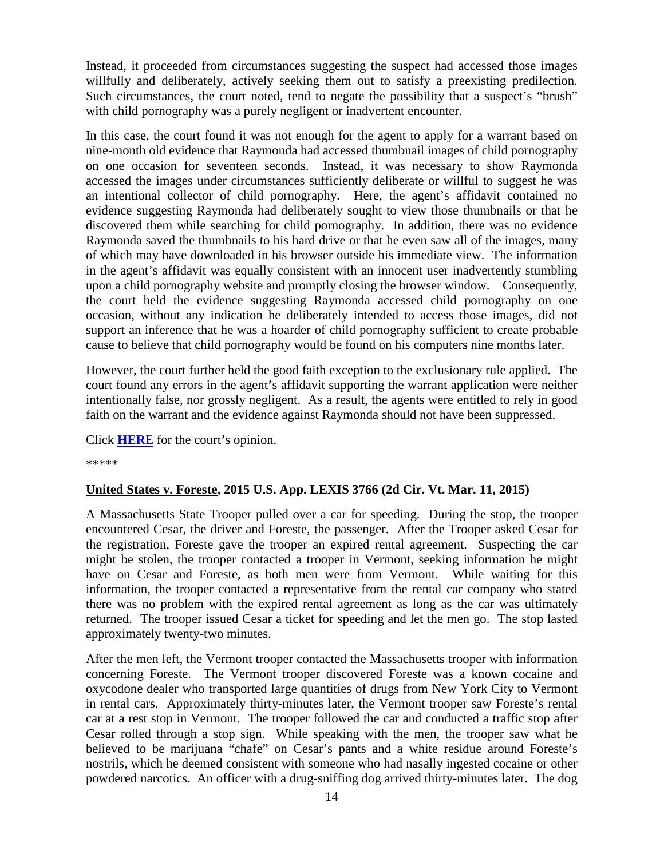Instead, it proceeded from circumstances suggesting the suspect had accessed those images willfully and deliberately, actively seeking them out to satisfy a preexisting predilection. Such circumstances, the court noted, tend to negate the possibility that a suspect's "brush" with child pornography was a purely negligent or inadvertent encounter.

In this case, the court found it was not enough for the agent to apply for a warrant based on nine-month old evidence that Raymonda had accessed thumbnail images of child pornography on one occasion for seventeen seconds. Instead, it was necessary to show Raymonda accessed the images under circumstances sufficiently deliberate or willful to suggest he was an intentional collector of child pornography. Here, the agent's affidavit contained no evidence suggesting Raymonda had deliberately sought to view those thumbnails or that he discovered them while searching for child pornography. In addition, there was no evidence Raymonda saved the thumbnails to his hard drive or that he even saw all of the images, many of which may have downloaded in his browser outside his immediate view. The information in the agent's affidavit was equally consistent with an innocent user inadvertently stumbling upon a child pornography website and promptly closing the browser window. Consequently, the court held the evidence suggesting Raymonda accessed child pornography on one occasion, without any indication he deliberately intended to access those images, did not support an inference that he was a hoarder of child pornography sufficient to create probable cause to believe that child pornography would be found on his computers nine months later.

However, the court further held the good faith exception to the exclusionary rule applied. The court found any errors in the agent's affidavit supporting the warrant application were neither intentionally false, nor grossly negligent. As a result, the agents were entitled to rely in good faith on the warrant and the evidence against Raymonda should not have been suppressed.

Click **[HER](http://cases.justia.com/federal/appellate-courts/ca2/13-4899/13-4899-2015-03-02.pdf?ts=1425310211)**E for the court's opinion.

\*\*\*\*\*

#### <span id="page-13-0"></span>**United States v. Foreste, 2015 U.S. App. LEXIS 3766 (2d Cir. Vt. Mar. 11, 2015)**

A Massachusetts State Trooper pulled over a car for speeding. During the stop, the trooper encountered Cesar, the driver and Foreste, the passenger. After the Trooper asked Cesar for the registration, Foreste gave the trooper an expired rental agreement. Suspecting the car might be stolen, the trooper contacted a trooper in Vermont, seeking information he might have on Cesar and Foreste, as both men were from Vermont. While waiting for this information, the trooper contacted a representative from the rental car company who stated there was no problem with the expired rental agreement as long as the car was ultimately returned. The trooper issued Cesar a ticket for speeding and let the men go. The stop lasted approximately twenty-two minutes.

After the men left, the Vermont trooper contacted the Massachusetts trooper with information concerning Foreste. The Vermont trooper discovered Foreste was a known cocaine and oxycodone dealer who transported large quantities of drugs from New York City to Vermont in rental cars. Approximately thirty-minutes later, the Vermont trooper saw Foreste's rental car at a rest stop in Vermont. The trooper followed the car and conducted a traffic stop after Cesar rolled through a stop sign. While speaking with the men, the trooper saw what he believed to be marijuana "chafe" on Cesar's pants and a white residue around Foreste's nostrils, which he deemed consistent with someone who had nasally ingested cocaine or other powdered narcotics. An officer with a drug-sniffing dog arrived thirty-minutes later. The dog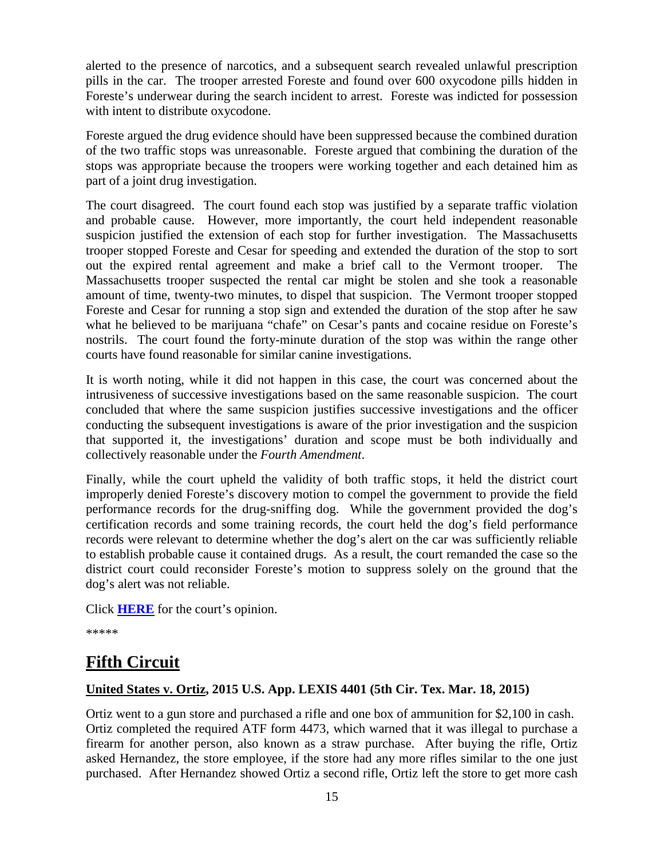alerted to the presence of narcotics, and a subsequent search revealed unlawful prescription pills in the car. The trooper arrested Foreste and found over 600 oxycodone pills hidden in Foreste's underwear during the search incident to arrest. Foreste was indicted for possession with intent to distribute oxycodone.

Foreste argued the drug evidence should have been suppressed because the combined duration of the two traffic stops was unreasonable. Foreste argued that combining the duration of the stops was appropriate because the troopers were working together and each detained him as part of a joint drug investigation.

The court disagreed. The court found each stop was justified by a separate traffic violation and probable cause. However, more importantly, the court held independent reasonable suspicion justified the extension of each stop for further investigation. The Massachusetts trooper stopped Foreste and Cesar for speeding and extended the duration of the stop to sort out the expired rental agreement and make a brief call to the Vermont trooper. The Massachusetts trooper suspected the rental car might be stolen and she took a reasonable amount of time, twenty-two minutes, to dispel that suspicion. The Vermont trooper stopped Foreste and Cesar for running a stop sign and extended the duration of the stop after he saw what he believed to be marijuana "chafe" on Cesar's pants and cocaine residue on Foreste's nostrils. The court found the forty-minute duration of the stop was within the range other courts have found reasonable for similar canine investigations.

It is worth noting, while it did not happen in this case, the court was concerned about the intrusiveness of successive investigations based on the same reasonable suspicion. The court concluded that where the same suspicion justifies successive investigations and the officer conducting the subsequent investigations is aware of the prior investigation and the suspicion that supported it, the investigations' duration and scope must be both individually and collectively reasonable under the *Fourth Amendment*.

Finally, while the court upheld the validity of both traffic stops, it held the district court improperly denied Foreste's discovery motion to compel the government to provide the field performance records for the drug-sniffing dog. While the government provided the dog's certification records and some training records, the court held the dog's field performance records were relevant to determine whether the dog's alert on the car was sufficiently reliable to establish probable cause it contained drugs. As a result, the court remanded the case so the district court could reconsider Foreste's motion to suppress solely on the ground that the dog's alert was not reliable.

Click **[HERE](http://cases.justia.com/federal/appellate-courts/ca2/13-4880/13-4880-2015-03-11.pdf?ts=1426084207)** for the court's opinion.

\*\*\*\*\*

# <span id="page-14-0"></span>**Fifth Circuit**

#### <span id="page-14-1"></span>**United States v. Ortiz, 2015 U.S. App. LEXIS 4401 (5th Cir. Tex. Mar. 18, 2015)**

Ortiz went to a gun store and purchased a rifle and one box of ammunition for \$2,100 in cash. Ortiz completed the required ATF form 4473, which warned that it was illegal to purchase a firearm for another person, also known as a straw purchase. After buying the rifle, Ortiz asked Hernandez, the store employee, if the store had any more rifles similar to the one just purchased. After Hernandez showed Ortiz a second rifle, Ortiz left the store to get more cash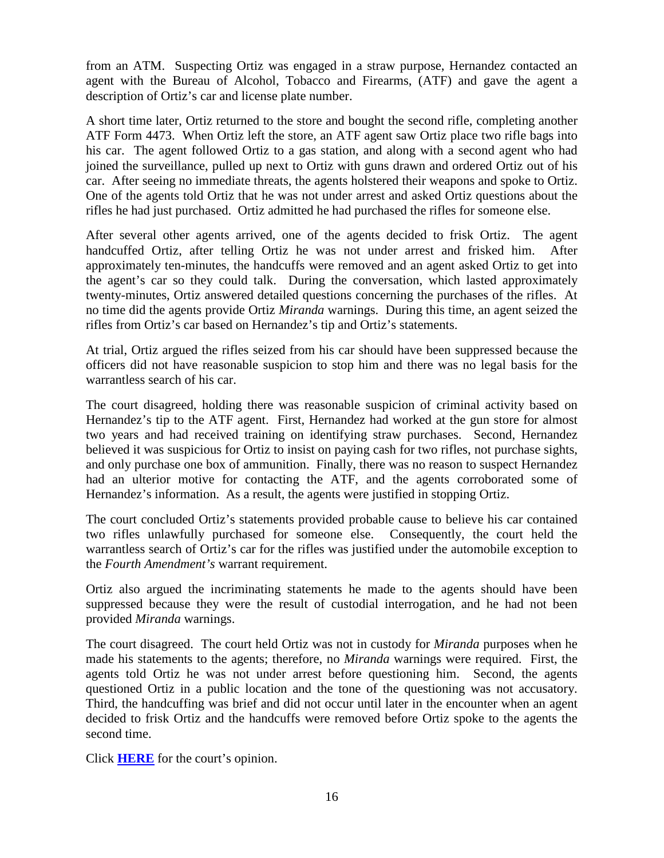from an ATM. Suspecting Ortiz was engaged in a straw purpose, Hernandez contacted an agent with the Bureau of Alcohol, Tobacco and Firearms, (ATF) and gave the agent a description of Ortiz's car and license plate number.

A short time later, Ortiz returned to the store and bought the second rifle, completing another ATF Form 4473. When Ortiz left the store, an ATF agent saw Ortiz place two rifle bags into his car. The agent followed Ortiz to a gas station, and along with a second agent who had joined the surveillance, pulled up next to Ortiz with guns drawn and ordered Ortiz out of his car. After seeing no immediate threats, the agents holstered their weapons and spoke to Ortiz. One of the agents told Ortiz that he was not under arrest and asked Ortiz questions about the rifles he had just purchased. Ortiz admitted he had purchased the rifles for someone else.

After several other agents arrived, one of the agents decided to frisk Ortiz. The agent handcuffed Ortiz, after telling Ortiz he was not under arrest and frisked him. After approximately ten-minutes, the handcuffs were removed and an agent asked Ortiz to get into the agent's car so they could talk. During the conversation, which lasted approximately twenty-minutes, Ortiz answered detailed questions concerning the purchases of the rifles. At no time did the agents provide Ortiz *Miranda* warnings. During this time, an agent seized the rifles from Ortiz's car based on Hernandez's tip and Ortiz's statements.

At trial, Ortiz argued the rifles seized from his car should have been suppressed because the officers did not have reasonable suspicion to stop him and there was no legal basis for the warrantless search of his car.

The court disagreed, holding there was reasonable suspicion of criminal activity based on Hernandez's tip to the ATF agent. First, Hernandez had worked at the gun store for almost two years and had received training on identifying straw purchases. Second, Hernandez believed it was suspicious for Ortiz to insist on paying cash for two rifles, not purchase sights, and only purchase one box of ammunition. Finally, there was no reason to suspect Hernandez had an ulterior motive for contacting the ATF, and the agents corroborated some of Hernandez's information. As a result, the agents were justified in stopping Ortiz.

The court concluded Ortiz's statements provided probable cause to believe his car contained two rifles unlawfully purchased for someone else. Consequently, the court held the warrantless search of Ortiz's car for the rifles was justified under the automobile exception to the *Fourth Amendment's* warrant requirement.

Ortiz also argued the incriminating statements he made to the agents should have been suppressed because they were the result of custodial interrogation, and he had not been provided *Miranda* warnings.

The court disagreed. The court held Ortiz was not in custody for *Miranda* purposes when he made his statements to the agents; therefore, no *Miranda* warnings were required. First, the agents told Ortiz he was not under arrest before questioning him. Second, the agents questioned Ortiz in a public location and the tone of the questioning was not accusatory. Third, the handcuffing was brief and did not occur until later in the encounter when an agent decided to frisk Ortiz and the handcuffs were removed before Ortiz spoke to the agents the second time.

Click **[HERE](http://cases.justia.com/federal/appellate-courts/ca5/13-20564/13-20564-2015-03-18.pdf?ts=1426766481)** for the court's opinion.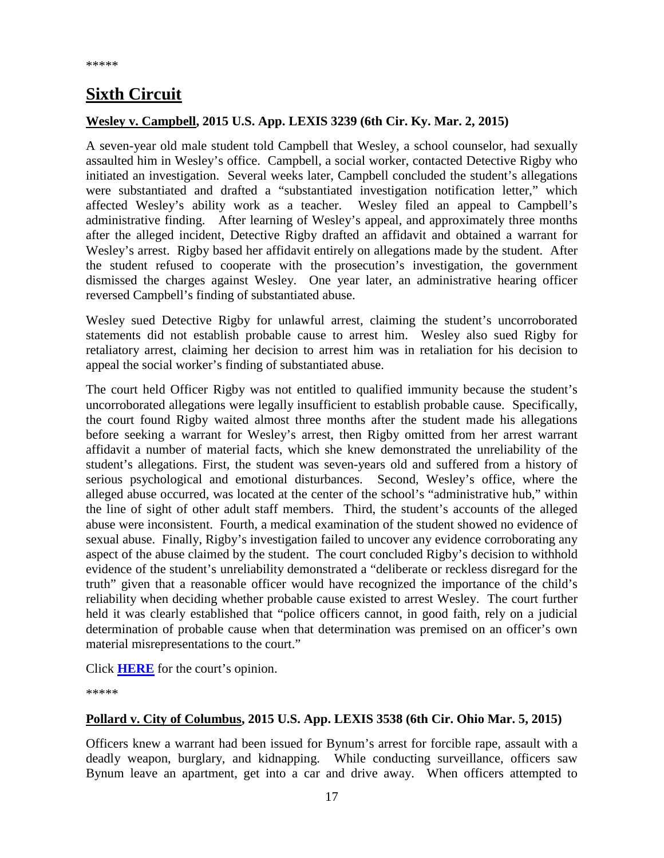# <span id="page-16-0"></span>**Sixth Circuit**

#### <span id="page-16-1"></span>**Wesley v. Campbell, 2015 U.S. App. LEXIS 3239 (6th Cir. Ky. Mar. 2, 2015)**

A seven-year old male student told Campbell that Wesley, a school counselor, had sexually assaulted him in Wesley's office. Campbell, a social worker, contacted Detective Rigby who initiated an investigation. Several weeks later, Campbell concluded the student's allegations were substantiated and drafted a "substantiated investigation notification letter," which affected Wesley's ability work as a teacher. Wesley filed an appeal to Campbell's administrative finding. After learning of Wesley's appeal, and approximately three months after the alleged incident, Detective Rigby drafted an affidavit and obtained a warrant for Wesley's arrest. Rigby based her affidavit entirely on allegations made by the student. After the student refused to cooperate with the prosecution's investigation, the government dismissed the charges against Wesley. One year later, an administrative hearing officer reversed Campbell's finding of substantiated abuse.

Wesley sued Detective Rigby for unlawful arrest, claiming the student's uncorroborated statements did not establish probable cause to arrest him. Wesley also sued Rigby for retaliatory arrest, claiming her decision to arrest him was in retaliation for his decision to appeal the social worker's finding of substantiated abuse.

The court held Officer Rigby was not entitled to qualified immunity because the student's uncorroborated allegations were legally insufficient to establish probable cause. Specifically, the court found Rigby waited almost three months after the student made his allegations before seeking a warrant for Wesley's arrest, then Rigby omitted from her arrest warrant affidavit a number of material facts, which she knew demonstrated the unreliability of the student's allegations. First, the student was seven-years old and suffered from a history of serious psychological and emotional disturbances. Second, Wesley's office, where the alleged abuse occurred, was located at the center of the school's "administrative hub," within the line of sight of other adult staff members. Third, the student's accounts of the alleged abuse were inconsistent. Fourth, a medical examination of the student showed no evidence of sexual abuse. Finally, Rigby's investigation failed to uncover any evidence corroborating any aspect of the abuse claimed by the student. The court concluded Rigby's decision to withhold evidence of the student's unreliability demonstrated a "deliberate or reckless disregard for the truth" given that a reasonable officer would have recognized the importance of the child's reliability when deciding whether probable cause existed to arrest Wesley. The court further held it was clearly established that "police officers cannot, in good faith, rely on a judicial determination of probable cause when that determination was premised on an officer's own material misrepresentations to the court."

Click **[HERE](http://cases.justia.com/federal/appellate-courts/ca6/13-5960/13-5960-2015-03-02.pdf?ts=1425312046)** for the court's opinion.

\*\*\*\*\*

#### <span id="page-16-2"></span>**Pollard v. City of Columbus, 2015 U.S. App. LEXIS 3538 (6th Cir. Ohio Mar. 5, 2015)**

Officers knew a warrant had been issued for Bynum's arrest for forcible rape, assault with a deadly weapon, burglary, and kidnapping. While conducting surveillance, officers saw Bynum leave an apartment, get into a car and drive away. When officers attempted to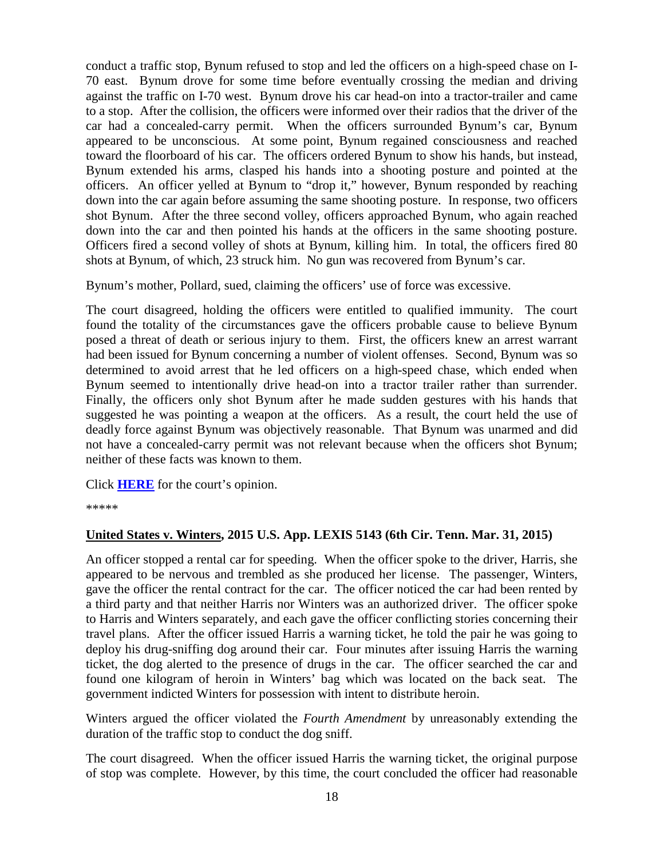conduct a traffic stop, Bynum refused to stop and led the officers on a high-speed chase on I-70 east. Bynum drove for some time before eventually crossing the median and driving against the traffic on I-70 west. Bynum drove his car head-on into a tractor-trailer and came to a stop. After the collision, the officers were informed over their radios that the driver of the car had a concealed-carry permit. When the officers surrounded Bynum's car, Bynum appeared to be unconscious. At some point, Bynum regained consciousness and reached toward the floorboard of his car. The officers ordered Bynum to show his hands, but instead, Bynum extended his arms, clasped his hands into a shooting posture and pointed at the officers. An officer yelled at Bynum to "drop it," however, Bynum responded by reaching down into the car again before assuming the same shooting posture. In response, two officers shot Bynum. After the three second volley, officers approached Bynum, who again reached down into the car and then pointed his hands at the officers in the same shooting posture. Officers fired a second volley of shots at Bynum, killing him. In total, the officers fired 80 shots at Bynum, of which, 23 struck him. No gun was recovered from Bynum's car.

Bynum's mother, Pollard, sued, claiming the officers' use of force was excessive.

The court disagreed, holding the officers were entitled to qualified immunity. The court found the totality of the circumstances gave the officers probable cause to believe Bynum posed a threat of death or serious injury to them. First, the officers knew an arrest warrant had been issued for Bynum concerning a number of violent offenses. Second, Bynum was so determined to avoid arrest that he led officers on a high-speed chase, which ended when Bynum seemed to intentionally drive head-on into a tractor trailer rather than surrender. Finally, the officers only shot Bynum after he made sudden gestures with his hands that suggested he was pointing a weapon at the officers. As a result, the court held the use of deadly force against Bynum was objectively reasonable. That Bynum was unarmed and did not have a concealed-carry permit was not relevant because when the officers shot Bynum; neither of these facts was known to them.

Click **[HERE](http://cases.justia.com/federal/appellate-courts/ca6/13-4142/13-4142-2015-03-05.pdf?ts=1425578455)** for the court's opinion.

\*\*\*\*\*

#### <span id="page-17-0"></span>**United States v. Winters, 2015 U.S. App. LEXIS 5143 (6th Cir. Tenn. Mar. 31, 2015)**

An officer stopped a rental car for speeding. When the officer spoke to the driver, Harris, she appeared to be nervous and trembled as she produced her license. The passenger, Winters, gave the officer the rental contract for the car. The officer noticed the car had been rented by a third party and that neither Harris nor Winters was an authorized driver. The officer spoke to Harris and Winters separately, and each gave the officer conflicting stories concerning their travel plans. After the officer issued Harris a warning ticket, he told the pair he was going to deploy his drug-sniffing dog around their car. Four minutes after issuing Harris the warning ticket, the dog alerted to the presence of drugs in the car. The officer searched the car and found one kilogram of heroin in Winters' bag which was located on the back seat. The government indicted Winters for possession with intent to distribute heroin.

Winters argued the officer violated the *Fourth Amendment* by unreasonably extending the duration of the traffic stop to conduct the dog sniff.

The court disagreed. When the officer issued Harris the warning ticket, the original purpose of stop was complete. However, by this time, the court concluded the officer had reasonable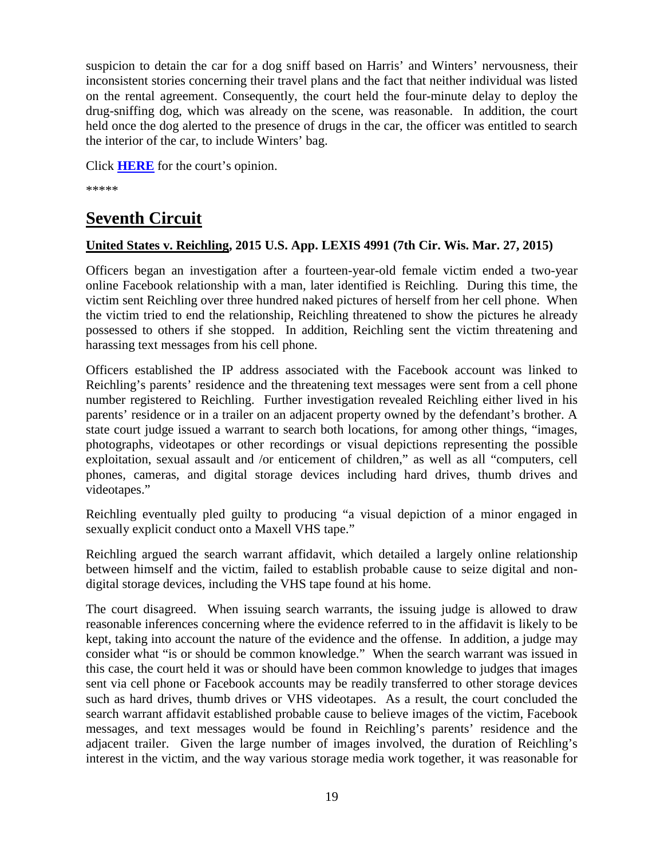suspicion to detain the car for a dog sniff based on Harris' and Winters' nervousness, their inconsistent stories concerning their travel plans and the fact that neither individual was listed on the rental agreement. Consequently, the court held the four-minute delay to deploy the drug-sniffing dog, which was already on the scene, was reasonable. In addition, the court held once the dog alerted to the presence of drugs in the car, the officer was entitled to search the interior of the car, to include Winters' bag.

Click **[HERE](http://cases.justia.com/federal/appellate-courts/ca6/13-6349/13-6349-2015-03-31.pdf?ts=1427821242)** for the court's opinion.

\*\*\*\*\*

# <span id="page-18-0"></span>**Seventh Circuit**

## <span id="page-18-1"></span>**United States v. Reichling, 2015 U.S. App. LEXIS 4991 (7th Cir. Wis. Mar. 27, 2015)**

Officers began an investigation after a fourteen-year-old female victim ended a two-year online Facebook relationship with a man, later identified is Reichling. During this time, the victim sent Reichling over three hundred naked pictures of herself from her cell phone. When the victim tried to end the relationship, Reichling threatened to show the pictures he already possessed to others if she stopped. In addition, Reichling sent the victim threatening and harassing text messages from his cell phone.

Officers established the IP address associated with the Facebook account was linked to Reichling's parents' residence and the threatening text messages were sent from a cell phone number registered to Reichling. Further investigation revealed Reichling either lived in his parents' residence or in a trailer on an adjacent property owned by the defendant's brother. A state court judge issued a warrant to search both locations, for among other things, "images, photographs, videotapes or other recordings or visual depictions representing the possible exploitation, sexual assault and /or enticement of children," as well as all "computers, cell phones, cameras, and digital storage devices including hard drives, thumb drives and videotapes."

Reichling eventually pled guilty to producing "a visual depiction of a minor engaged in sexually explicit conduct onto a Maxell VHS tape."

Reichling argued the search warrant affidavit, which detailed a largely online relationship between himself and the victim, failed to establish probable cause to seize digital and nondigital storage devices, including the VHS tape found at his home.

The court disagreed. When issuing search warrants, the issuing judge is allowed to draw reasonable inferences concerning where the evidence referred to in the affidavit is likely to be kept, taking into account the nature of the evidence and the offense. In addition, a judge may consider what "is or should be common knowledge." When the search warrant was issued in this case, the court held it was or should have been common knowledge to judges that images sent via cell phone or Facebook accounts may be readily transferred to other storage devices such as hard drives, thumb drives or VHS videotapes. As a result, the court concluded the search warrant affidavit established probable cause to believe images of the victim, Facebook messages, and text messages would be found in Reichling's parents' residence and the adjacent trailer. Given the large number of images involved, the duration of Reichling's interest in the victim, and the way various storage media work together, it was reasonable for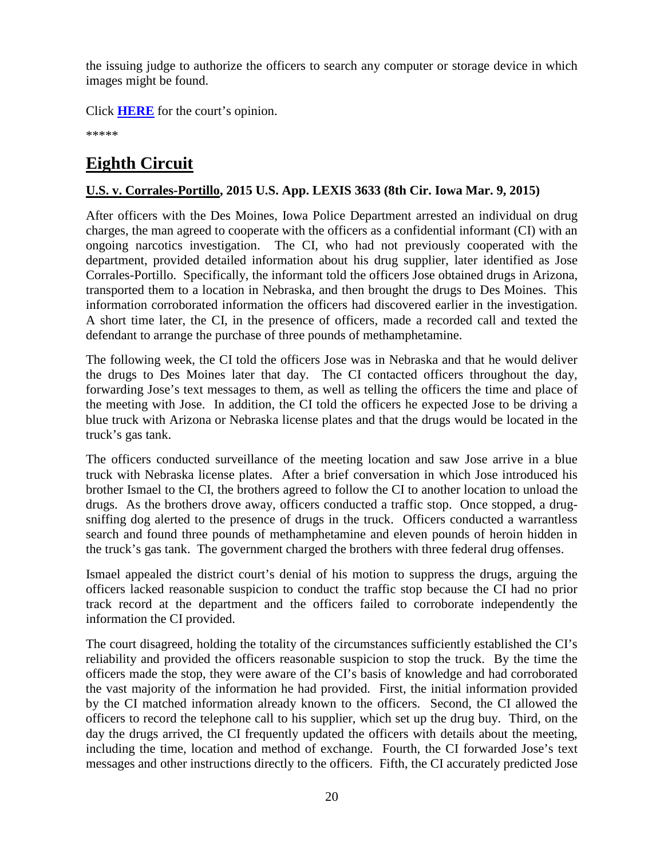the issuing judge to authorize the officers to search any computer or storage device in which images might be found.

Click **[HERE](http://cases.justia.com/federal/appellate-courts/ca7/14-2941/14-2941-2015-03-27.pdf?ts=1427479262)** for the court's opinion.

\*\*\*\*\*

# <span id="page-19-0"></span>**Eighth Circuit**

# <span id="page-19-1"></span>**U.S. v. Corrales-Portillo, 2015 U.S. App. LEXIS 3633 (8th Cir. Iowa Mar. 9, 2015)**

After officers with the Des Moines, Iowa Police Department arrested an individual on drug charges, the man agreed to cooperate with the officers as a confidential informant (CI) with an ongoing narcotics investigation. The CI, who had not previously cooperated with the department, provided detailed information about his drug supplier, later identified as Jose Corrales-Portillo. Specifically, the informant told the officers Jose obtained drugs in Arizona, transported them to a location in Nebraska, and then brought the drugs to Des Moines. This information corroborated information the officers had discovered earlier in the investigation. A short time later, the CI, in the presence of officers, made a recorded call and texted the defendant to arrange the purchase of three pounds of methamphetamine.

The following week, the CI told the officers Jose was in Nebraska and that he would deliver the drugs to Des Moines later that day. The CI contacted officers throughout the day, forwarding Jose's text messages to them, as well as telling the officers the time and place of the meeting with Jose. In addition, the CI told the officers he expected Jose to be driving a blue truck with Arizona or Nebraska license plates and that the drugs would be located in the truck's gas tank.

The officers conducted surveillance of the meeting location and saw Jose arrive in a blue truck with Nebraska license plates. After a brief conversation in which Jose introduced his brother Ismael to the CI, the brothers agreed to follow the CI to another location to unload the drugs. As the brothers drove away, officers conducted a traffic stop. Once stopped, a drugsniffing dog alerted to the presence of drugs in the truck. Officers conducted a warrantless search and found three pounds of methamphetamine and eleven pounds of heroin hidden in the truck's gas tank. The government charged the brothers with three federal drug offenses.

Ismael appealed the district court's denial of his motion to suppress the drugs, arguing the officers lacked reasonable suspicion to conduct the traffic stop because the CI had no prior track record at the department and the officers failed to corroborate independently the information the CI provided.

The court disagreed, holding the totality of the circumstances sufficiently established the CI's reliability and provided the officers reasonable suspicion to stop the truck. By the time the officers made the stop, they were aware of the CI's basis of knowledge and had corroborated the vast majority of the information he had provided. First, the initial information provided by the CI matched information already known to the officers. Second, the CI allowed the officers to record the telephone call to his supplier, which set up the drug buy. Third, on the day the drugs arrived, the CI frequently updated the officers with details about the meeting, including the time, location and method of exchange. Fourth, the CI forwarded Jose's text messages and other instructions directly to the officers. Fifth, the CI accurately predicted Jose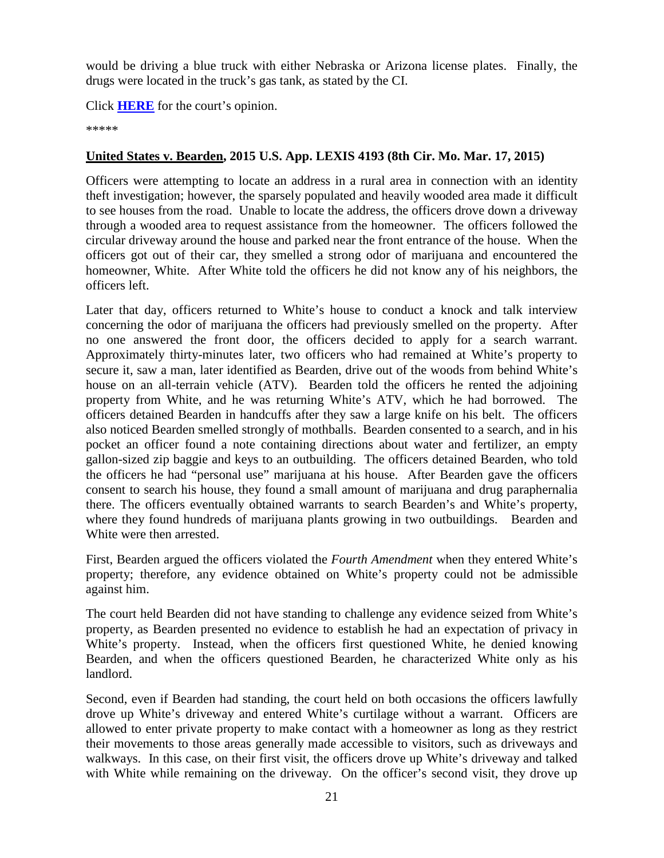would be driving a blue truck with either Nebraska or Arizona license plates. Finally, the drugs were located in the truck's gas tank, as stated by the CI.

Click **[HERE](http://cases.justia.com/federal/appellate-courts/ca8/14-1769/14-1769-2015-03-09.pdf?ts=1425913279)** for the court's opinion.

\*\*\*\*\*

#### <span id="page-20-0"></span>**United States v. Bearden, 2015 U.S. App. LEXIS 4193 (8th Cir. Mo. Mar. 17, 2015)**

Officers were attempting to locate an address in a rural area in connection with an identity theft investigation; however, the sparsely populated and heavily wooded area made it difficult to see houses from the road. Unable to locate the address, the officers drove down a driveway through a wooded area to request assistance from the homeowner. The officers followed the circular driveway around the house and parked near the front entrance of the house. When the officers got out of their car, they smelled a strong odor of marijuana and encountered the homeowner, White. After White told the officers he did not know any of his neighbors, the officers left.

Later that day, officers returned to White's house to conduct a knock and talk interview concerning the odor of marijuana the officers had previously smelled on the property. After no one answered the front door, the officers decided to apply for a search warrant. Approximately thirty-minutes later, two officers who had remained at White's property to secure it, saw a man, later identified as Bearden, drive out of the woods from behind White's house on an all-terrain vehicle (ATV). Bearden told the officers he rented the adjoining property from White, and he was returning White's ATV, which he had borrowed. The officers detained Bearden in handcuffs after they saw a large knife on his belt. The officers also noticed Bearden smelled strongly of mothballs. Bearden consented to a search, and in his pocket an officer found a note containing directions about water and fertilizer, an empty gallon-sized zip baggie and keys to an outbuilding. The officers detained Bearden, who told the officers he had "personal use" marijuana at his house. After Bearden gave the officers consent to search his house, they found a small amount of marijuana and drug paraphernalia there. The officers eventually obtained warrants to search Bearden's and White's property, where they found hundreds of marijuana plants growing in two outbuildings. Bearden and White were then arrested.

First, Bearden argued the officers violated the *Fourth Amendment* when they entered White's property; therefore, any evidence obtained on White's property could not be admissible against him.

The court held Bearden did not have standing to challenge any evidence seized from White's property, as Bearden presented no evidence to establish he had an expectation of privacy in White's property. Instead, when the officers first questioned White, he denied knowing Bearden, and when the officers questioned Bearden, he characterized White only as his landlord.

Second, even if Bearden had standing, the court held on both occasions the officers lawfully drove up White's driveway and entered White's curtilage without a warrant. Officers are allowed to enter private property to make contact with a homeowner as long as they restrict their movements to those areas generally made accessible to visitors, such as driveways and walkways. In this case, on their first visit, the officers drove up White's driveway and talked with White while remaining on the driveway. On the officer's second visit, they drove up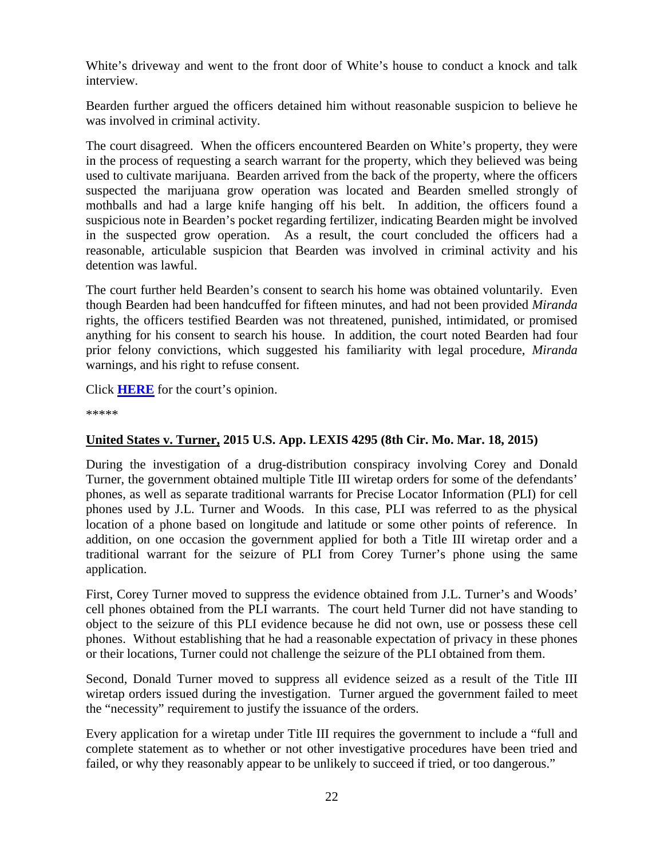White's driveway and went to the front door of White's house to conduct a knock and talk interview.

Bearden further argued the officers detained him without reasonable suspicion to believe he was involved in criminal activity.

The court disagreed. When the officers encountered Bearden on White's property, they were in the process of requesting a search warrant for the property, which they believed was being used to cultivate marijuana. Bearden arrived from the back of the property, where the officers suspected the marijuana grow operation was located and Bearden smelled strongly of mothballs and had a large knife hanging off his belt. In addition, the officers found a suspicious note in Bearden's pocket regarding fertilizer, indicating Bearden might be involved in the suspected grow operation. As a result, the court concluded the officers had a reasonable, articulable suspicion that Bearden was involved in criminal activity and his detention was lawful.

The court further held Bearden's consent to search his home was obtained voluntarily. Even though Bearden had been handcuffed for fifteen minutes, and had not been provided *Miranda* rights, the officers testified Bearden was not threatened, punished, intimidated, or promised anything for his consent to search his house. In addition, the court noted Bearden had four prior felony convictions, which suggested his familiarity with legal procedure, *Miranda* warnings, and his right to refuse consent.

Click **[HERE](http://cases.justia.com/federal/appellate-courts/ca8/14-1659/14-1659-2015-03-17.pdf?ts=1426617126)** for the court's opinion.

\*\*\*\*\*

#### <span id="page-21-0"></span>**United States v. Turner, 2015 U.S. App. LEXIS 4295 (8th Cir. Mo. Mar. 18, 2015)**

During the investigation of a drug-distribution conspiracy involving Corey and Donald Turner, the government obtained multiple Title III wiretap orders for some of the defendants' phones, as well as separate traditional warrants for Precise Locator Information (PLI) for cell phones used by J.L. Turner and Woods. In this case, PLI was referred to as the physical location of a phone based on longitude and latitude or some other points of reference. In addition, on one occasion the government applied for both a Title III wiretap order and a traditional warrant for the seizure of PLI from Corey Turner's phone using the same application.

First, Corey Turner moved to suppress the evidence obtained from J.L. Turner's and Woods' cell phones obtained from the PLI warrants. The court held Turner did not have standing to object to the seizure of this PLI evidence because he did not own, use or possess these cell phones. Without establishing that he had a reasonable expectation of privacy in these phones or their locations, Turner could not challenge the seizure of the PLI obtained from them.

Second, Donald Turner moved to suppress all evidence seized as a result of the Title III wiretap orders issued during the investigation. Turner argued the government failed to meet the "necessity" requirement to justify the issuance of the orders.

Every application for a wiretap under Title III requires the government to include a "full and complete statement as to whether or not other investigative procedures have been tried and failed, or why they reasonably appear to be unlikely to succeed if tried, or too dangerous."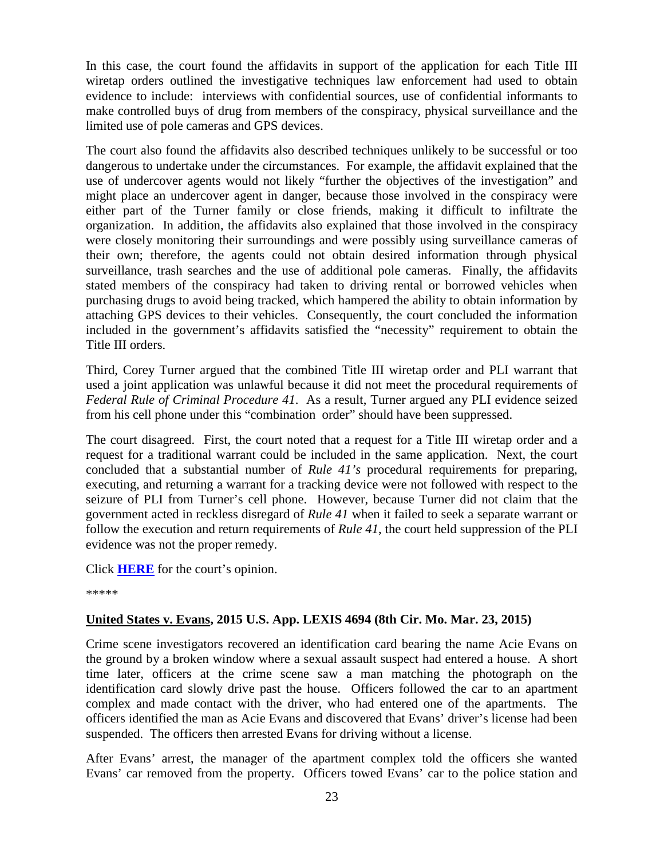In this case, the court found the affidavits in support of the application for each Title III wiretap orders outlined the investigative techniques law enforcement had used to obtain evidence to include: interviews with confidential sources, use of confidential informants to make controlled buys of drug from members of the conspiracy, physical surveillance and the limited use of pole cameras and GPS devices.

The court also found the affidavits also described techniques unlikely to be successful or too dangerous to undertake under the circumstances. For example, the affidavit explained that the use of undercover agents would not likely "further the objectives of the investigation" and might place an undercover agent in danger, because those involved in the conspiracy were either part of the Turner family or close friends, making it difficult to infiltrate the organization. In addition, the affidavits also explained that those involved in the conspiracy were closely monitoring their surroundings and were possibly using surveillance cameras of their own; therefore, the agents could not obtain desired information through physical surveillance, trash searches and the use of additional pole cameras. Finally, the affidavits stated members of the conspiracy had taken to driving rental or borrowed vehicles when purchasing drugs to avoid being tracked, which hampered the ability to obtain information by attaching GPS devices to their vehicles. Consequently, the court concluded the information included in the government's affidavits satisfied the "necessity" requirement to obtain the Title III orders.

Third, Corey Turner argued that the combined Title III wiretap order and PLI warrant that used a joint application was unlawful because it did not meet the procedural requirements of *Federal Rule of Criminal Procedure 41*. As a result, Turner argued any PLI evidence seized from his cell phone under this "combination order" should have been suppressed.

The court disagreed. First, the court noted that a request for a Title III wiretap order and a request for a traditional warrant could be included in the same application. Next, the court concluded that a substantial number of *Rule 41's* procedural requirements for preparing, executing, and returning a warrant for a tracking device were not followed with respect to the seizure of PLI from Turner's cell phone. However, because Turner did not claim that the government acted in reckless disregard of *Rule 41* when it failed to seek a separate warrant or follow the execution and return requirements of *Rule 41*, the court held suppression of the PLI evidence was not the proper remedy.

Click **[HERE](http://cases.justia.com/federal/appellate-courts/ca8/13-2566/13-2566-2015-03-18.pdf?ts=1426692710)** for the court's opinion.

\*\*\*\*\*

#### <span id="page-22-0"></span>**United States v. Evans, 2015 U.S. App. LEXIS 4694 (8th Cir. Mo. Mar. 23, 2015)**

Crime scene investigators recovered an identification card bearing the name Acie Evans on the ground by a broken window where a sexual assault suspect had entered a house. A short time later, officers at the crime scene saw a man matching the photograph on the identification card slowly drive past the house. Officers followed the car to an apartment complex and made contact with the driver, who had entered one of the apartments. The officers identified the man as Acie Evans and discovered that Evans' driver's license had been suspended. The officers then arrested Evans for driving without a license.

After Evans' arrest, the manager of the apartment complex told the officers she wanted Evans' car removed from the property. Officers towed Evans' car to the police station and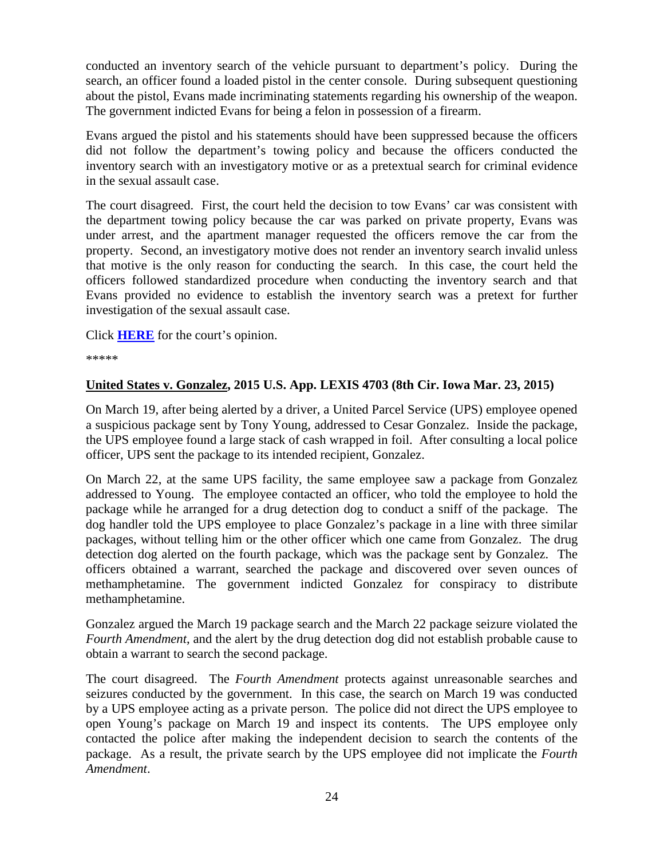conducted an inventory search of the vehicle pursuant to department's policy. During the search, an officer found a loaded pistol in the center console. During subsequent questioning about the pistol, Evans made incriminating statements regarding his ownership of the weapon. The government indicted Evans for being a felon in possession of a firearm.

Evans argued the pistol and his statements should have been suppressed because the officers did not follow the department's towing policy and because the officers conducted the inventory search with an investigatory motive or as a pretextual search for criminal evidence in the sexual assault case.

The court disagreed. First, the court held the decision to tow Evans' car was consistent with the department towing policy because the car was parked on private property, Evans was under arrest, and the apartment manager requested the officers remove the car from the property. Second, an investigatory motive does not render an inventory search invalid unless that motive is the only reason for conducting the search. In this case, the court held the officers followed standardized procedure when conducting the inventory search and that Evans provided no evidence to establish the inventory search was a pretext for further investigation of the sexual assault case.

Click **[HERE](http://cases.justia.com/federal/appellate-courts/ca8/14-1669/14-1669-2015-03-23.pdf?ts=1427124665)** for the court's opinion.

\*\*\*\*\*

#### <span id="page-23-0"></span>**United States v. Gonzalez, 2015 U.S. App. LEXIS 4703 (8th Cir. Iowa Mar. 23, 2015)**

On March 19, after being alerted by a driver, a United Parcel Service (UPS) employee opened a suspicious package sent by Tony Young, addressed to Cesar Gonzalez. Inside the package, the UPS employee found a large stack of cash wrapped in foil. After consulting a local police officer, UPS sent the package to its intended recipient, Gonzalez.

On March 22, at the same UPS facility, the same employee saw a package from Gonzalez addressed to Young. The employee contacted an officer, who told the employee to hold the package while he arranged for a drug detection dog to conduct a sniff of the package. The dog handler told the UPS employee to place Gonzalez's package in a line with three similar packages, without telling him or the other officer which one came from Gonzalez. The drug detection dog alerted on the fourth package, which was the package sent by Gonzalez. The officers obtained a warrant, searched the package and discovered over seven ounces of methamphetamine. The government indicted Gonzalez for conspiracy to distribute methamphetamine.

Gonzalez argued the March 19 package search and the March 22 package seizure violated the *Fourth Amendment*, and the alert by the drug detection dog did not establish probable cause to obtain a warrant to search the second package.

The court disagreed. The *Fourth Amendment* protects against unreasonable searches and seizures conducted by the government. In this case, the search on March 19 was conducted by a UPS employee acting as a private person. The police did not direct the UPS employee to open Young's package on March 19 and inspect its contents. The UPS employee only contacted the police after making the independent decision to search the contents of the package. As a result, the private search by the UPS employee did not implicate the *Fourth Amendment*.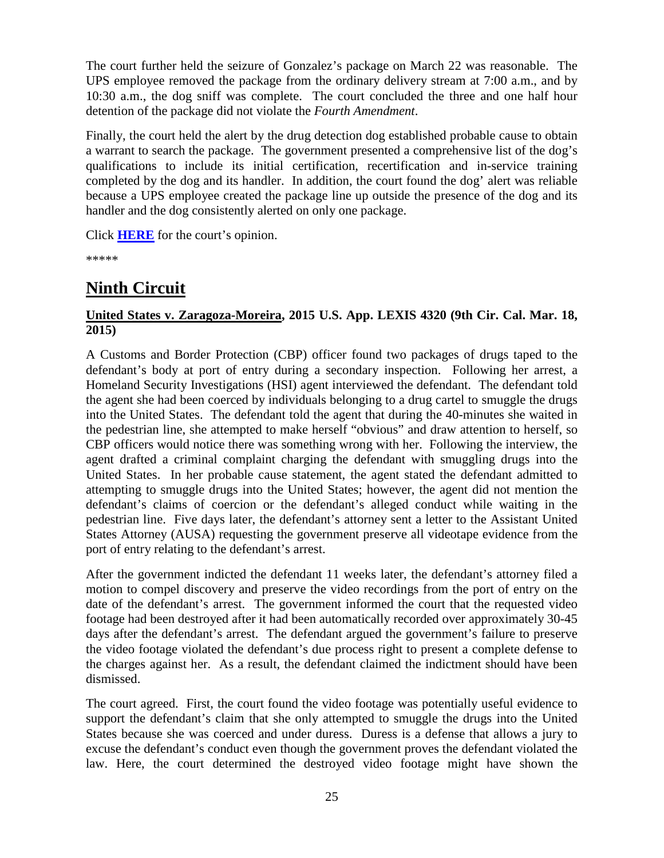The court further held the seizure of Gonzalez's package on March 22 was reasonable. The UPS employee removed the package from the ordinary delivery stream at 7:00 a.m., and by 10:30 a.m., the dog sniff was complete. The court concluded the three and one half hour detention of the package did not violate the *Fourth Amendment*.

Finally, the court held the alert by the drug detection dog established probable cause to obtain a warrant to search the package. The government presented a comprehensive list of the dog's qualifications to include its initial certification, recertification and in-service training completed by the dog and its handler. In addition, the court found the dog' alert was reliable because a UPS employee created the package line up outside the presence of the dog and its handler and the dog consistently alerted on only one package.

Click **[HERE](http://cases.justia.com/federal/appellate-courts/ca8/14-1422/14-1422-2015-03-23.pdf?ts=1427124663)** for the court's opinion.

\*\*\*\*\*

# <span id="page-24-0"></span>**Ninth Circuit**

## <span id="page-24-1"></span>**United States v. Zaragoza-Moreira, 2015 U.S. App. LEXIS 4320 (9th Cir. Cal. Mar. 18, 2015)**

A Customs and Border Protection (CBP) officer found two packages of drugs taped to the defendant's body at port of entry during a secondary inspection. Following her arrest, a Homeland Security Investigations (HSI) agent interviewed the defendant. The defendant told the agent she had been coerced by individuals belonging to a drug cartel to smuggle the drugs into the United States. The defendant told the agent that during the 40-minutes she waited in the pedestrian line, she attempted to make herself "obvious" and draw attention to herself, so CBP officers would notice there was something wrong with her. Following the interview, the agent drafted a criminal complaint charging the defendant with smuggling drugs into the United States. In her probable cause statement, the agent stated the defendant admitted to attempting to smuggle drugs into the United States; however, the agent did not mention the defendant's claims of coercion or the defendant's alleged conduct while waiting in the pedestrian line. Five days later, the defendant's attorney sent a letter to the Assistant United States Attorney (AUSA) requesting the government preserve all videotape evidence from the port of entry relating to the defendant's arrest.

After the government indicted the defendant 11 weeks later, the defendant's attorney filed a motion to compel discovery and preserve the video recordings from the port of entry on the date of the defendant's arrest. The government informed the court that the requested video footage had been destroyed after it had been automatically recorded over approximately 30-45 days after the defendant's arrest. The defendant argued the government's failure to preserve the video footage violated the defendant's due process right to present a complete defense to the charges against her. As a result, the defendant claimed the indictment should have been dismissed.

The court agreed. First, the court found the video footage was potentially useful evidence to support the defendant's claim that she only attempted to smuggle the drugs into the United States because she was coerced and under duress. Duress is a defense that allows a jury to excuse the defendant's conduct even though the government proves the defendant violated the law. Here, the court determined the destroyed video footage might have shown the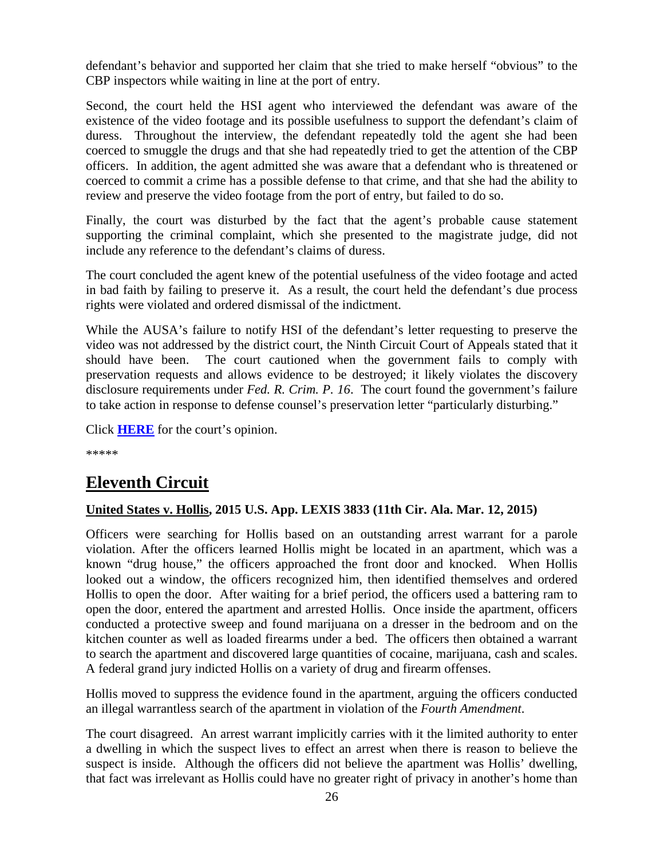defendant's behavior and supported her claim that she tried to make herself "obvious" to the CBP inspectors while waiting in line at the port of entry.

Second, the court held the HSI agent who interviewed the defendant was aware of the existence of the video footage and its possible usefulness to support the defendant's claim of duress. Throughout the interview, the defendant repeatedly told the agent she had been coerced to smuggle the drugs and that she had repeatedly tried to get the attention of the CBP officers. In addition, the agent admitted she was aware that a defendant who is threatened or coerced to commit a crime has a possible defense to that crime, and that she had the ability to review and preserve the video footage from the port of entry, but failed to do so.

Finally, the court was disturbed by the fact that the agent's probable cause statement supporting the criminal complaint, which she presented to the magistrate judge, did not include any reference to the defendant's claims of duress.

The court concluded the agent knew of the potential usefulness of the video footage and acted in bad faith by failing to preserve it. As a result, the court held the defendant's due process rights were violated and ordered dismissal of the indictment.

While the AUSA's failure to notify HSI of the defendant's letter requesting to preserve the video was not addressed by the district court, the Ninth Circuit Court of Appeals stated that it should have been. The court cautioned when the government fails to comply with preservation requests and allows evidence to be destroyed; it likely violates the discovery disclosure requirements under *Fed. R. Crim. P. 16*. The court found the government's failure to take action in response to defense counsel's preservation letter "particularly disturbing."

Click **[HERE](http://cases.justia.com/federal/appellate-courts/ca9/13-50506/13-50506-2015-03-18.pdf?ts=1426698063)** for the court's opinion.

\*\*\*\*\*

# <span id="page-25-0"></span>**Eleventh Circuit**

#### <span id="page-25-1"></span>**United States v. Hollis, 2015 U.S. App. LEXIS 3833 (11th Cir. Ala. Mar. 12, 2015)**

Officers were searching for Hollis based on an outstanding arrest warrant for a parole violation. After the officers learned Hollis might be located in an apartment, which was a known "drug house," the officers approached the front door and knocked. When Hollis looked out a window, the officers recognized him, then identified themselves and ordered Hollis to open the door. After waiting for a brief period, the officers used a battering ram to open the door, entered the apartment and arrested Hollis. Once inside the apartment, officers conducted a protective sweep and found marijuana on a dresser in the bedroom and on the kitchen counter as well as loaded firearms under a bed. The officers then obtained a warrant to search the apartment and discovered large quantities of cocaine, marijuana, cash and scales. A federal grand jury indicted Hollis on a variety of drug and firearm offenses.

Hollis moved to suppress the evidence found in the apartment, arguing the officers conducted an illegal warrantless search of the apartment in violation of the *Fourth Amendment*.

The court disagreed. An arrest warrant implicitly carries with it the limited authority to enter a dwelling in which the suspect lives to effect an arrest when there is reason to believe the suspect is inside. Although the officers did not believe the apartment was Hollis' dwelling, that fact was irrelevant as Hollis could have no greater right of privacy in another's home than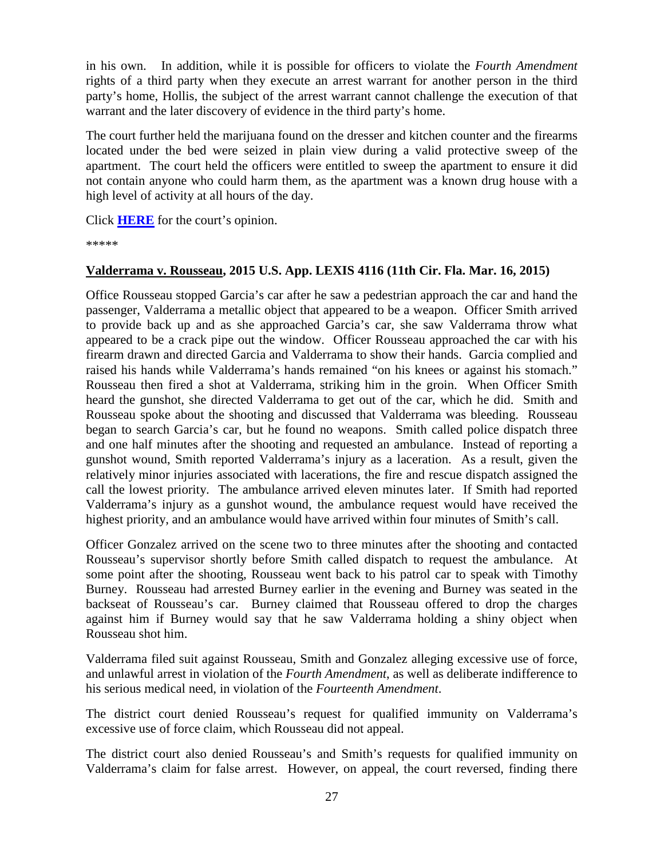in his own. In addition, while it is possible for officers to violate the *Fourth Amendment* rights of a third party when they execute an arrest warrant for another person in the third party's home, Hollis, the subject of the arrest warrant cannot challenge the execution of that warrant and the later discovery of evidence in the third party's home.

The court further held the marijuana found on the dresser and kitchen counter and the firearms located under the bed were seized in plain view during a valid protective sweep of the apartment. The court held the officers were entitled to sweep the apartment to ensure it did not contain anyone who could harm them, as the apartment was a known drug house with a high level of activity at all hours of the day.

Click **[HERE](http://cases.justia.com/federal/appellate-courts/ca11/13-13780/13-13780-2015-03-12.pdf?ts=1426170678)** for the court's opinion.

\*\*\*\*\*

## <span id="page-26-0"></span>**Valderrama v. Rousseau, 2015 U.S. App. LEXIS 4116 (11th Cir. Fla. Mar. 16, 2015)**

Office Rousseau stopped Garcia's car after he saw a pedestrian approach the car and hand the passenger, Valderrama a metallic object that appeared to be a weapon. Officer Smith arrived to provide back up and as she approached Garcia's car, she saw Valderrama throw what appeared to be a crack pipe out the window. Officer Rousseau approached the car with his firearm drawn and directed Garcia and Valderrama to show their hands. Garcia complied and raised his hands while Valderrama's hands remained "on his knees or against his stomach." Rousseau then fired a shot at Valderrama, striking him in the groin. When Officer Smith heard the gunshot, she directed Valderrama to get out of the car, which he did. Smith and Rousseau spoke about the shooting and discussed that Valderrama was bleeding. Rousseau began to search Garcia's car, but he found no weapons. Smith called police dispatch three and one half minutes after the shooting and requested an ambulance. Instead of reporting a gunshot wound, Smith reported Valderrama's injury as a laceration. As a result, given the relatively minor injuries associated with lacerations, the fire and rescue dispatch assigned the call the lowest priority. The ambulance arrived eleven minutes later. If Smith had reported Valderrama's injury as a gunshot wound, the ambulance request would have received the highest priority, and an ambulance would have arrived within four minutes of Smith's call.

Officer Gonzalez arrived on the scene two to three minutes after the shooting and contacted Rousseau's supervisor shortly before Smith called dispatch to request the ambulance. At some point after the shooting, Rousseau went back to his patrol car to speak with Timothy Burney. Rousseau had arrested Burney earlier in the evening and Burney was seated in the backseat of Rousseau's car. Burney claimed that Rousseau offered to drop the charges against him if Burney would say that he saw Valderrama holding a shiny object when Rousseau shot him.

Valderrama filed suit against Rousseau, Smith and Gonzalez alleging excessive use of force, and unlawful arrest in violation of the *Fourth Amendment*, as well as deliberate indifference to his serious medical need, in violation of the *Fourteenth Amendment*.

The district court denied Rousseau's request for qualified immunity on Valderrama's excessive use of force claim, which Rousseau did not appeal.

The district court also denied Rousseau's and Smith's requests for qualified immunity on Valderrama's claim for false arrest. However, on appeal, the court reversed, finding there